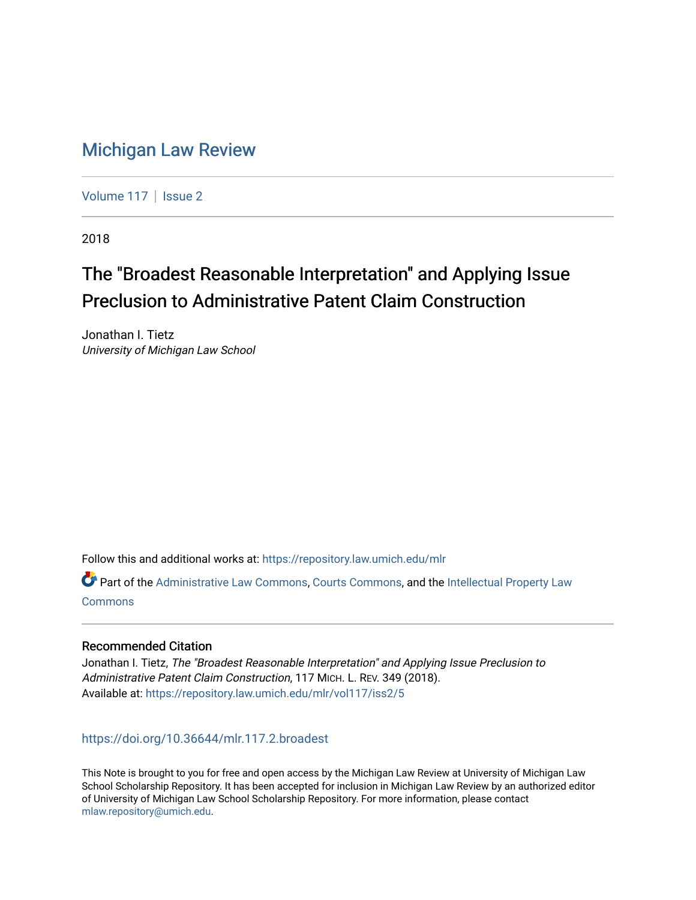## [Michigan Law Review](https://repository.law.umich.edu/mlr)

[Volume 117](https://repository.law.umich.edu/mlr/vol117) | [Issue 2](https://repository.law.umich.edu/mlr/vol117/iss2)

2018

# The "Broadest Reasonable Interpretation" and Applying Issue Preclusion to Administrative Patent Claim Construction

Jonathan I. Tietz University of Michigan Law School

Follow this and additional works at: [https://repository.law.umich.edu/mlr](https://repository.law.umich.edu/mlr?utm_source=repository.law.umich.edu%2Fmlr%2Fvol117%2Fiss2%2F5&utm_medium=PDF&utm_campaign=PDFCoverPages) 

Part of the [Administrative Law Commons,](http://network.bepress.com/hgg/discipline/579?utm_source=repository.law.umich.edu%2Fmlr%2Fvol117%2Fiss2%2F5&utm_medium=PDF&utm_campaign=PDFCoverPages) [Courts Commons,](http://network.bepress.com/hgg/discipline/839?utm_source=repository.law.umich.edu%2Fmlr%2Fvol117%2Fiss2%2F5&utm_medium=PDF&utm_campaign=PDFCoverPages) and the [Intellectual Property Law](http://network.bepress.com/hgg/discipline/896?utm_source=repository.law.umich.edu%2Fmlr%2Fvol117%2Fiss2%2F5&utm_medium=PDF&utm_campaign=PDFCoverPages)  **[Commons](http://network.bepress.com/hgg/discipline/896?utm_source=repository.law.umich.edu%2Fmlr%2Fvol117%2Fiss2%2F5&utm_medium=PDF&utm_campaign=PDFCoverPages)** 

## Recommended Citation

Jonathan I. Tietz, The "Broadest Reasonable Interpretation" and Applying Issue Preclusion to Administrative Patent Claim Construction, 117 MICH. L. REV. 349 (2018). Available at: [https://repository.law.umich.edu/mlr/vol117/iss2/5](https://repository.law.umich.edu/mlr/vol117/iss2/5?utm_source=repository.law.umich.edu%2Fmlr%2Fvol117%2Fiss2%2F5&utm_medium=PDF&utm_campaign=PDFCoverPages) 

<https://doi.org/10.36644/mlr.117.2.broadest>

This Note is brought to you for free and open access by the Michigan Law Review at University of Michigan Law School Scholarship Repository. It has been accepted for inclusion in Michigan Law Review by an authorized editor of University of Michigan Law School Scholarship Repository. For more information, please contact [mlaw.repository@umich.edu.](mailto:mlaw.repository@umich.edu)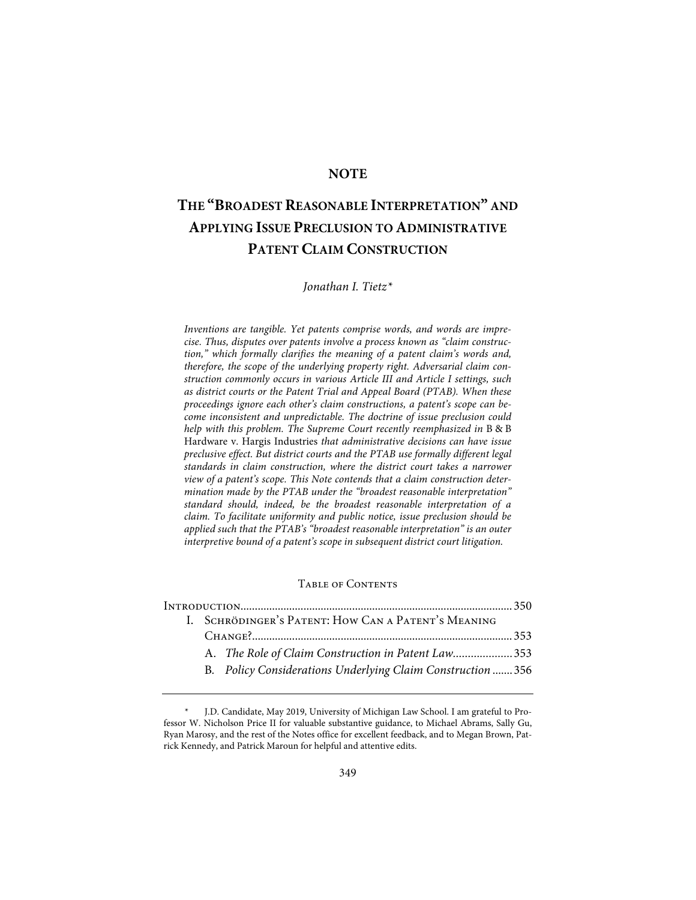## **NOTE**

## **THE "BROADEST REASONABLE INTERPRETATION" AND APPLYING ISSUE PRECLUSION TO ADMINISTRATIVE PATENT CLAIM CONSTRUCTION**

*Jonathan I. Tietz\**

*Inventions are tangible. Yet patents comprise words, and words are imprecise. Thus, disputes over patents involve a process known as "claim construction," which formally clarifies the meaning of a patent claim's words and, therefore, the scope of the underlying property right. Adversarial claim construction commonly occurs in various Article III and Article I settings, such as district courts or the Patent Trial and Appeal Board (PTAB). When these proceedings ignore each other's claim constructions, a patent's scope can become inconsistent and unpredictable. The doctrine of issue preclusion could help with this problem. The Supreme Court recently reemphasized in* B & B Hardware v. Hargis Industries *that administrative decisions can have issue preclusive effect. But district courts and the PTAB use formally different legal standards in claim construction, where the district court takes a narrower view of a patent's scope. This Note contends that a claim construction determination made by the PTAB under the "broadest reasonable interpretation" standard should, indeed, be the broadest reasonable interpretation of a claim. To facilitate uniformity and public notice, issue preclusion should be applied such that the PTAB's "broadest reasonable interpretation" is an outer interpretive bound of a patent's scope in subsequent district court litigation.*

## Table of Contents

|  |  | I. SCHRÖDINGER'S PATENT: HOW CAN A PATENT'S MEANING |                                                             |  |  |  |
|--|--|-----------------------------------------------------|-------------------------------------------------------------|--|--|--|
|  |  |                                                     |                                                             |  |  |  |
|  |  |                                                     | A. The Role of Claim Construction in Patent Law353          |  |  |  |
|  |  |                                                     | B. Policy Considerations Underlying Claim Construction  356 |  |  |  |
|  |  |                                                     |                                                             |  |  |  |

J.D. Candidate, May 2019, University of Michigan Law School. I am grateful to Professor W. Nicholson Price II for valuable substantive guidance, to Michael Abrams, Sally Gu, Ryan Marosy, and the rest of the Notes office for excellent feedback, and to Megan Brown, Patrick Kennedy, and Patrick Maroun for helpful and attentive edits.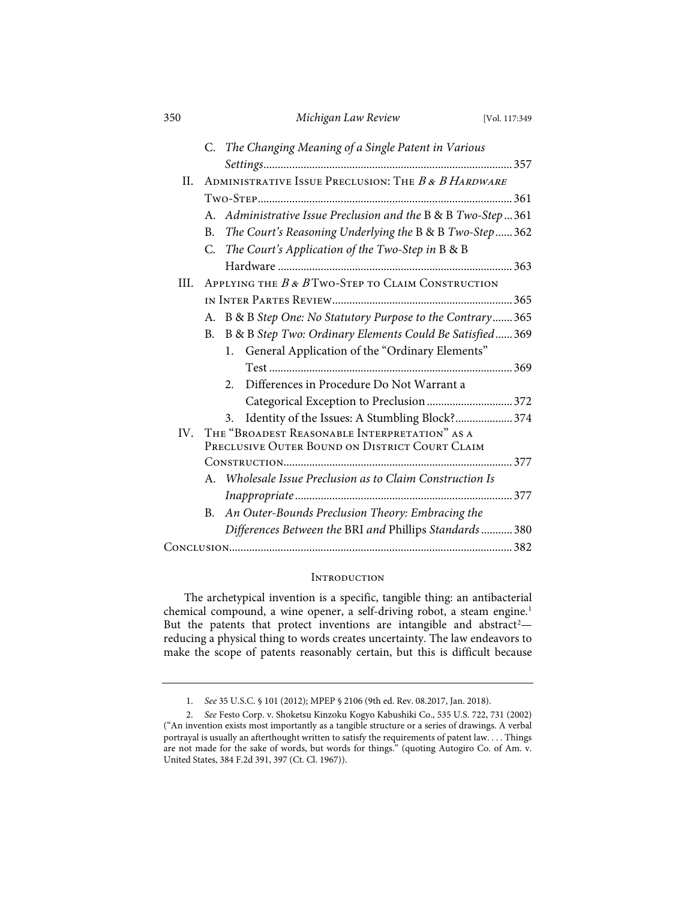| 350  |                                                      | Michigan Law Review                                          | [Vol. 117:349] |  |  |
|------|------------------------------------------------------|--------------------------------------------------------------|----------------|--|--|
|      |                                                      | C. The Changing Meaning of a Single Patent in Various        |                |  |  |
|      |                                                      |                                                              |                |  |  |
| II.  | ADMINISTRATIVE ISSUE PRECLUSION: THE B & B HARDWARE  |                                                              |                |  |  |
|      |                                                      |                                                              |                |  |  |
|      |                                                      | A. Administrative Issue Preclusion and the B & B Two-Step361 |                |  |  |
|      | <b>B.</b>                                            | The Court's Reasoning Underlying the B & B Two-Step362       |                |  |  |
|      | C.                                                   | The Court's Application of the Two-Step in B & B             |                |  |  |
|      |                                                      |                                                              |                |  |  |
| III. | APPLYING THE $B \& B$ Two-Step to CLAIM CONSTRUCTION |                                                              |                |  |  |
|      |                                                      |                                                              |                |  |  |
|      |                                                      | A. B & B Step One: No Statutory Purpose to the Contrary365   |                |  |  |
|      | B.                                                   | B & B Step Two: Ordinary Elements Could Be Satisfied369      |                |  |  |
|      |                                                      | General Application of the "Ordinary Elements"<br>1.         |                |  |  |
|      |                                                      |                                                              |                |  |  |
|      |                                                      | Differences in Procedure Do Not Warrant a<br>2.              |                |  |  |
|      |                                                      | Categorical Exception to Preclusion  372                     |                |  |  |
|      |                                                      | Identity of the Issues: A Stumbling Block? 374<br>3.         |                |  |  |
| IV.  | THE "BROADEST REASONABLE INTERPRETATION" AS A        |                                                              |                |  |  |
|      | PRECLUSIVE OUTER BOUND ON DISTRICT COURT CLAIM       |                                                              |                |  |  |
|      |                                                      |                                                              |                |  |  |
|      |                                                      | A. Wholesale Issue Preclusion as to Claim Construction Is    |                |  |  |
|      |                                                      |                                                              |                |  |  |
|      |                                                      | B. An Outer-Bounds Preclusion Theory: Embracing the          |                |  |  |
|      |                                                      | Differences Between the BRI and Phillips Standards  380      |                |  |  |
|      |                                                      |                                                              |                |  |  |

## **INTRODUCTION**

The archetypical invention is a specific, tangible thing: an antibacterial chemical compound, a wine opener, a self-driving robot, a steam engine.<sup>1</sup> But the patents that protect inventions are intangible and abstract<sup>2</sup>reducing a physical thing to words creates uncertainty. The law endeavors to make the scope of patents reasonably certain, but this is difficult because

<sup>1.</sup> *See* 35 U.S.C. § 101 (2012); MPEP § 2106 (9th ed. Rev. 08.2017, Jan. 2018).

<sup>2.</sup> *See* Festo Corp. v. Shoketsu Kinzoku Kogyo Kabushiki Co., 535 U.S. 722, 731 (2002) ("An invention exists most importantly as a tangible structure or a series of drawings. A verbal portrayal is usually an afterthought written to satisfy the requirements of patent law. . . . Things are not made for the sake of words, but words for things." (quoting Autogiro Co. of Am. v. United States, 384 F.2d 391, 397 (Ct. Cl. 1967)).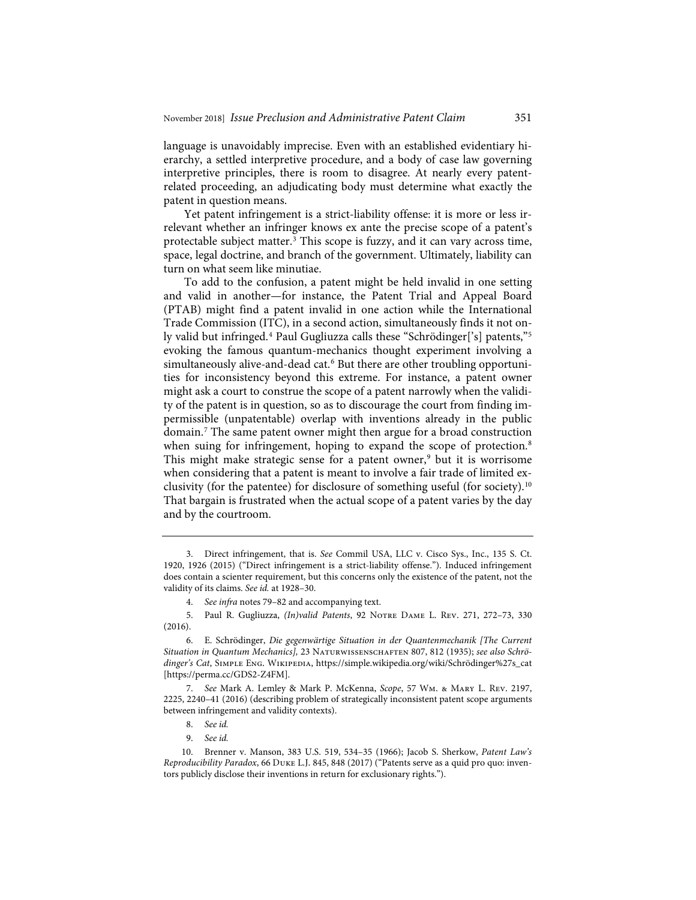language is unavoidably imprecise. Even with an established evidentiary hierarchy, a settled interpretive procedure, and a body of case law governing interpretive principles, there is room to disagree. At nearly every patentrelated proceeding, an adjudicating body must determine what exactly the patent in question means.

Yet patent infringement is a strict-liability offense: it is more or less irrelevant whether an infringer knows ex ante the precise scope of a patent's protectable subject matter.3 This scope is fuzzy, and it can vary across time, space, legal doctrine, and branch of the government. Ultimately, liability can turn on what seem like minutiae.

To add to the confusion, a patent might be held invalid in one setting and valid in another—for instance, the Patent Trial and Appeal Board (PTAB) might find a patent invalid in one action while the International Trade Commission (ITC), in a second action, simultaneously finds it not only valid but infringed.<sup>4</sup> Paul Gugliuzza calls these "Schrödinger['s] patents,"<sup>5</sup> evoking the famous quantum-mechanics thought experiment involving a simultaneously alive-and-dead cat.<sup>6</sup> But there are other troubling opportunities for inconsistency beyond this extreme. For instance, a patent owner might ask a court to construe the scope of a patent narrowly when the validity of the patent is in question, so as to discourage the court from finding impermissible (unpatentable) overlap with inventions already in the public domain.7 The same patent owner might then argue for a broad construction when suing for infringement, hoping to expand the scope of protection.<sup>8</sup> This might make strategic sense for a patent owner, $9$  but it is worrisome when considering that a patent is meant to involve a fair trade of limited exclusivity (for the patentee) for disclosure of something useful (for society).10 That bargain is frustrated when the actual scope of a patent varies by the day and by the courtroom.

- 8. *See id.*
- 9. *See id.*

<sup>3.</sup> Direct infringement, that is. *See* Commil USA, LLC v. Cisco Sys., Inc., 135 S. Ct. 1920, 1926 (2015) ("Direct infringement is a strict-liability offense."). Induced infringement does contain a scienter requirement, but this concerns only the existence of the patent, not the validity of its claims. *See id.* at 1928–30.

<sup>4.</sup> *See infra* notes 79–82 and accompanying text.

<sup>5.</sup> Paul R. Gugliuzza, *(In)valid Patents*, 92 Notre Dame L. Rev. 271, 272–73, 330 (2016).

<sup>6.</sup> E. Schrödinger, *Die gegenwärtige Situation in der Quantenmechanik [The Current Situation in Quantum Mechanics],* 23 Naturwissenschaften 807, 812 (1935); *see also Schrödinger's Cat*, Simple Eng. Wikipedia, https://simple.wikipedia.org/wiki/Schrödinger%27s\_cat [https://perma.cc/GDS2-Z4FM].

<sup>7.</sup> *See* Mark A. Lemley & Mark P. McKenna, *Scope*, 57 Wm. & Mary L. Rev. 2197, 2225, 2240–41 (2016) (describing problem of strategically inconsistent patent scope arguments between infringement and validity contexts).

<sup>10.</sup> Brenner v. Manson, 383 U.S. 519, 534–35 (1966); Jacob S. Sherkow, *Patent Law's Reproducibility Paradox*, 66 Duke L.J. 845, 848 (2017) ("Patents serve as a quid pro quo: inventors publicly disclose their inventions in return for exclusionary rights.").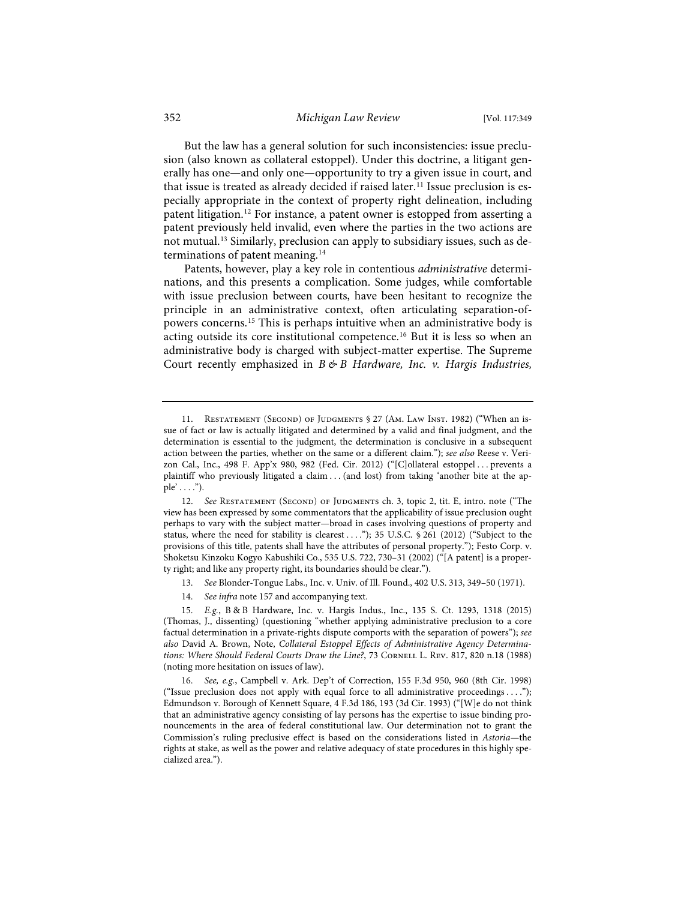But the law has a general solution for such inconsistencies: issue preclusion (also known as collateral estoppel). Under this doctrine, a litigant generally has one—and only one—opportunity to try a given issue in court, and that issue is treated as already decided if raised later.<sup>11</sup> Issue preclusion is especially appropriate in the context of property right delineation, including patent litigation.<sup>12</sup> For instance, a patent owner is estopped from asserting a patent previously held invalid, even where the parties in the two actions are not mutual.13 Similarly, preclusion can apply to subsidiary issues, such as determinations of patent meaning.<sup>14</sup>

Patents, however, play a key role in contentious *administrative* determinations, and this presents a complication. Some judges, while comfortable with issue preclusion between courts, have been hesitant to recognize the principle in an administrative context, often articulating separation-ofpowers concerns.15 This is perhaps intuitive when an administrative body is acting outside its core institutional competence.16 But it is less so when an administrative body is charged with subject-matter expertise. The Supreme Court recently emphasized in *B & B Hardware, Inc. v. Hargis Industries,* 

- 13. *See* Blonder-Tongue Labs., Inc. v. Univ. of Ill. Found., 402 U.S. 313, 349–50 (1971).
- 14. *See infra* note 157 and accompanying text.

<sup>11.</sup> RESTATEMENT (SECOND) OF JUDGMENTS § 27 (AM. LAW INST. 1982) ("When an issue of fact or law is actually litigated and determined by a valid and final judgment, and the determination is essential to the judgment, the determination is conclusive in a subsequent action between the parties, whether on the same or a different claim."); *see also* Reese v. Verizon Cal., Inc., 498 F. App'x 980, 982 (Fed. Cir. 2012) ("[C]ollateral estoppel . . . prevents a plaintiff who previously litigated a claim . . . (and lost) from taking 'another bite at the apple' . . . .").

<sup>12.</sup> See RESTATEMENT (SECOND) OF JUDGMENTS ch. 3, topic 2, tit. E, intro. note ("The view has been expressed by some commentators that the applicability of issue preclusion ought perhaps to vary with the subject matter—broad in cases involving questions of property and status, where the need for stability is clearest . . . ."); 35 U.S.C. § 261 (2012) ("Subject to the provisions of this title, patents shall have the attributes of personal property."); Festo Corp. v. Shoketsu Kinzoku Kogyo Kabushiki Co., 535 U.S. 722, 730–31 (2002) ("[A patent] is a property right; and like any property right, its boundaries should be clear.").

<sup>15.</sup> *E.g.*, B & B Hardware, Inc. v. Hargis Indus., Inc., 135 S. Ct. 1293, 1318 (2015) (Thomas, J., dissenting) (questioning "whether applying administrative preclusion to a core factual determination in a private-rights dispute comports with the separation of powers"); *see also* David A. Brown, Note, *Collateral Estoppel Effects of Administrative Agency Determinations: Where Should Federal Courts Draw the Line?*, 73 Cornell L. Rev. 817, 820 n.18 (1988) (noting more hesitation on issues of law).

<sup>16.</sup> *See, e.g.*, Campbell v. Ark. Dep't of Correction, 155 F.3d 950, 960 (8th Cir. 1998) ("Issue preclusion does not apply with equal force to all administrative proceedings . . . ."); Edmundson v. Borough of Kennett Square, 4 F.3d 186, 193 (3d Cir. 1993) ("[W]e do not think that an administrative agency consisting of lay persons has the expertise to issue binding pronouncements in the area of federal constitutional law. Our determination not to grant the Commission's ruling preclusive effect is based on the considerations listed in *Astoria*—the rights at stake, as well as the power and relative adequacy of state procedures in this highly specialized area.").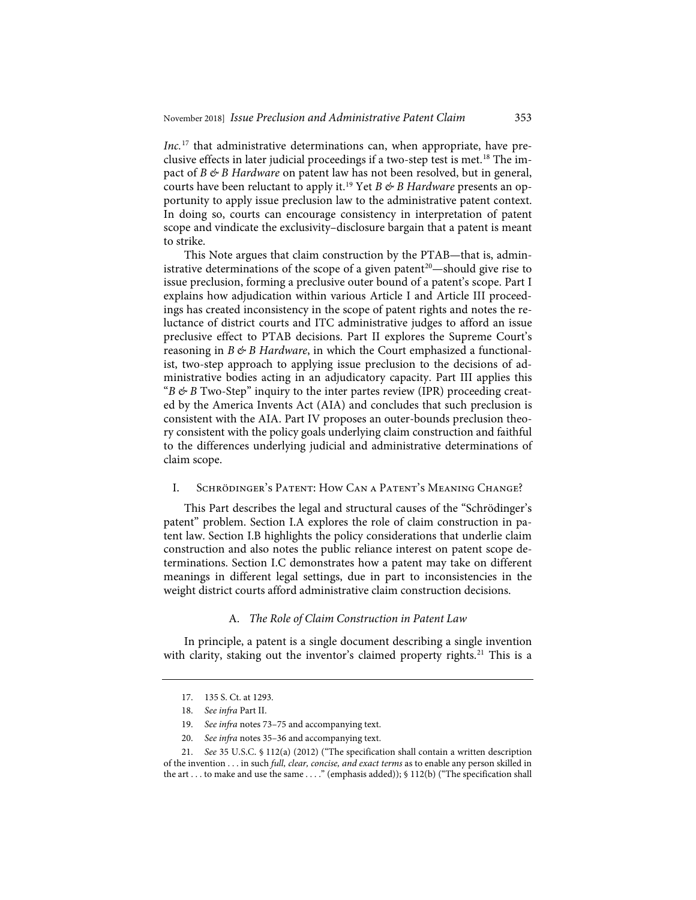*Inc.*<sup>17</sup> that administrative determinations can, when appropriate, have preclusive effects in later judicial proceedings if a two-step test is met.<sup>18</sup> The impact of *B & B Hardware* on patent law has not been resolved, but in general, courts have been reluctant to apply it.19 Yet *B & B Hardware* presents an opportunity to apply issue preclusion law to the administrative patent context. In doing so, courts can encourage consistency in interpretation of patent scope and vindicate the exclusivity–disclosure bargain that a patent is meant to strike.

This Note argues that claim construction by the PTAB—that is, administrative determinations of the scope of a given patent<sup>20</sup>—should give rise to issue preclusion, forming a preclusive outer bound of a patent's scope. Part I explains how adjudication within various Article I and Article III proceedings has created inconsistency in the scope of patent rights and notes the reluctance of district courts and ITC administrative judges to afford an issue preclusive effect to PTAB decisions. Part II explores the Supreme Court's reasoning in *B & B Hardware*, in which the Court emphasized a functionalist, two-step approach to applying issue preclusion to the decisions of administrative bodies acting in an adjudicatory capacity. Part III applies this " $B \otimes B$  Two-Step" inquiry to the inter partes review (IPR) proceeding created by the America Invents Act (AIA) and concludes that such preclusion is consistent with the AIA. Part IV proposes an outer-bounds preclusion theory consistent with the policy goals underlying claim construction and faithful to the differences underlying judicial and administrative determinations of claim scope.

## I. Schrödinger's Patent: How Can a Patent's Meaning Change?

This Part describes the legal and structural causes of the "Schrödinger's patent" problem. Section I.A explores the role of claim construction in patent law. Section I.B highlights the policy considerations that underlie claim construction and also notes the public reliance interest on patent scope determinations. Section I.C demonstrates how a patent may take on different meanings in different legal settings, due in part to inconsistencies in the weight district courts afford administrative claim construction decisions.

#### A. *The Role of Claim Construction in Patent Law*

In principle, a patent is a single document describing a single invention with clarity, staking out the inventor's claimed property rights.<sup>21</sup> This is a

20. *See infra* notes 35–36 and accompanying text.

<sup>17. 135</sup> S. Ct. at 1293.

<sup>18.</sup> *See infra* Part II.

<sup>19.</sup> *See infra* notes 73–75 and accompanying text.

<sup>21.</sup> *See* 35 U.S.C. § 112(a) (2012) ("The specification shall contain a written description of the invention . . . in such *full, clear, concise, and exact terms* as to enable any person skilled in the art . . . to make and use the same . . . ." (emphasis added)); § 112(b) ("The specification shall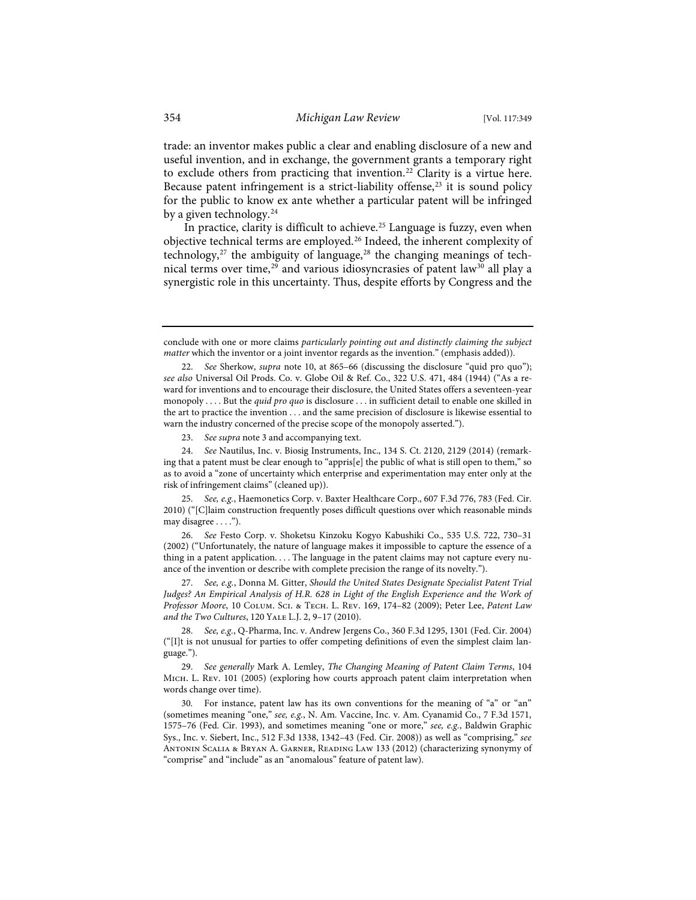trade: an inventor makes public a clear and enabling disclosure of a new and useful invention, and in exchange, the government grants a temporary right to exclude others from practicing that invention.<sup>22</sup> Clarity is a virtue here. Because patent infringement is a strict-liability offense, $23$  it is sound policy for the public to know ex ante whether a particular patent will be infringed by a given technology.<sup>24</sup>

In practice, clarity is difficult to achieve.<sup>25</sup> Language is fuzzy, even when objective technical terms are employed.<sup>26</sup> Indeed, the inherent complexity of technology, $27$  the ambiguity of language, $28$  the changing meanings of technical terms over time,<sup>29</sup> and various idiosyncrasies of patent law<sup>30</sup> all play a synergistic role in this uncertainty. Thus, despite efforts by Congress and the

23. *See supra* note 3 and accompanying text.

24. *See* Nautilus, Inc. v. Biosig Instruments, Inc., 134 S. Ct. 2120, 2129 (2014) (remarking that a patent must be clear enough to "appris[e] the public of what is still open to them," so as to avoid a "zone of uncertainty which enterprise and experimentation may enter only at the risk of infringement claims" (cleaned up)).

25. *See, e.g.*, Haemonetics Corp. v. Baxter Healthcare Corp., 607 F.3d 776, 783 (Fed. Cir. 2010) ("[C]laim construction frequently poses difficult questions over which reasonable minds may disagree . . . .").

26. *See* Festo Corp. v. Shoketsu Kinzoku Kogyo Kabushiki Co., 535 U.S. 722, 730–31 (2002) ("Unfortunately, the nature of language makes it impossible to capture the essence of a thing in a patent application. . . . The language in the patent claims may not capture every nuance of the invention or describe with complete precision the range of its novelty.").

27. *See, e.g.*, Donna M. Gitter, *Should the United States Designate Specialist Patent Trial Judges? An Empirical Analysis of H.R. 628 in Light of the English Experience and the Work of Professor Moore*, 10 Colum. Sci. & Tech. L. Rev. 169, 174–82 (2009); Peter Lee, *Patent Law and the Two Cultures*, 120 Yale L.J. 2, 9–17 (2010).

28. *See, e.g.*, Q-Pharma, Inc. v. Andrew Jergens Co., 360 F.3d 1295, 1301 (Fed. Cir. 2004) ("[I]t is not unusual for parties to offer competing definitions of even the simplest claim language.").

29. *See generally* Mark A. Lemley, *The Changing Meaning of Patent Claim Terms*, 104 Mich. L. Rev. 101 (2005) (exploring how courts approach patent claim interpretation when words change over time).

30. For instance, patent law has its own conventions for the meaning of "a" or "an" (sometimes meaning "one," *see, e.g.*, N. Am. Vaccine, Inc. v. Am. Cyanamid Co., 7 F.3d 1571, 1575–76 (Fed. Cir. 1993), and sometimes meaning "one or more," *see, e.g.*, Baldwin Graphic Sys., Inc. v. Siebert, Inc., 512 F.3d 1338, 1342–43 (Fed. Cir. 2008)) as well as "comprising," *see* Antonin Scalia & Bryan A. Garner, Reading Law 133 (2012) (characterizing synonymy of "comprise" and "include" as an "anomalous" feature of patent law).

conclude with one or more claims *particularly pointing out and distinctly claiming the subject matter* which the inventor or a joint inventor regards as the invention." (emphasis added)).

<sup>22.</sup> *See* Sherkow, *supra* note 10, at 865–66 (discussing the disclosure "quid pro quo"); *see also* Universal Oil Prods. Co. v. Globe Oil & Ref. Co., 322 U.S. 471, 484 (1944) ("As a reward for inventions and to encourage their disclosure, the United States offers a seventeen-year monopoly . . . . But the *quid pro quo* is disclosure . . . in sufficient detail to enable one skilled in the art to practice the invention . . . and the same precision of disclosure is likewise essential to warn the industry concerned of the precise scope of the monopoly asserted.").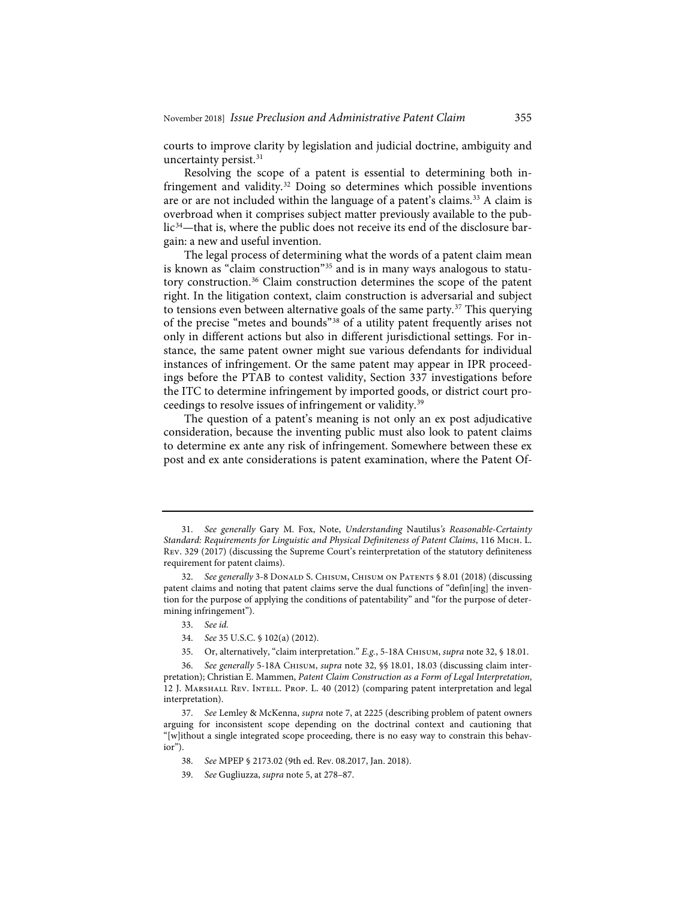courts to improve clarity by legislation and judicial doctrine, ambiguity and uncertainty persist.<sup>31</sup>

Resolving the scope of a patent is essential to determining both infringement and validity.<sup>32</sup> Doing so determines which possible inventions are or are not included within the language of a patent's claims.<sup>33</sup> A claim is overbroad when it comprises subject matter previously available to the public<sup>34</sup>—that is, where the public does not receive its end of the disclosure bargain: a new and useful invention.

The legal process of determining what the words of a patent claim mean is known as "claim construction"35 and is in many ways analogous to statutory construction.36 Claim construction determines the scope of the patent right. In the litigation context, claim construction is adversarial and subject to tensions even between alternative goals of the same party.<sup>37</sup> This querying of the precise "metes and bounds"38 of a utility patent frequently arises not only in different actions but also in different jurisdictional settings. For instance, the same patent owner might sue various defendants for individual instances of infringement. Or the same patent may appear in IPR proceedings before the PTAB to contest validity, Section 337 investigations before the ITC to determine infringement by imported goods, or district court proceedings to resolve issues of infringement or validity.39

The question of a patent's meaning is not only an ex post adjudicative consideration, because the inventing public must also look to patent claims to determine ex ante any risk of infringement. Somewhere between these ex post and ex ante considerations is patent examination, where the Patent Of-

- 38. *See* MPEP § 2173.02 (9th ed. Rev. 08.2017, Jan. 2018).
- 39. *See* Gugliuzza, *supra* note 5, at 278–87.

<sup>31.</sup> *See generally* Gary M. Fox, Note, *Understanding* Nautilus*'s Reasonable-Certainty Standard: Requirements for Linguistic and Physical Definiteness of Patent Claims*, 116 Mich. L. Rev. 329 (2017) (discussing the Supreme Court's reinterpretation of the statutory definiteness requirement for patent claims).

<sup>32.</sup> *See generally* 3-8 DONALD S. CHISUM, CHISUM ON PATENTS § 8.01 (2018) (discussing patent claims and noting that patent claims serve the dual functions of "defin[ing] the invention for the purpose of applying the conditions of patentability" and "for the purpose of determining infringement").

<sup>33.</sup> *See id.*

<sup>34.</sup> *See* 35 U.S.C. § 102(a) (2012).

<sup>35.</sup> Or, alternatively, "claim interpretation." *E.g.*, 5-18A Chisum, *supra* note 32, § 18.01.

<sup>36.</sup> *See generally* 5-18A Chisum, *supra* note 32, §§ 18.01, 18.03 (discussing claim interpretation); Christian E. Mammen, *Patent Claim Construction as a Form of Legal Interpretation*, 12 J. Marshall Rev. Intell. Prop. L. 40 (2012) (comparing patent interpretation and legal interpretation).

<sup>37.</sup> *See* Lemley & McKenna, *supra* note 7, at 2225 (describing problem of patent owners arguing for inconsistent scope depending on the doctrinal context and cautioning that "[w]ithout a single integrated scope proceeding, there is no easy way to constrain this behavior").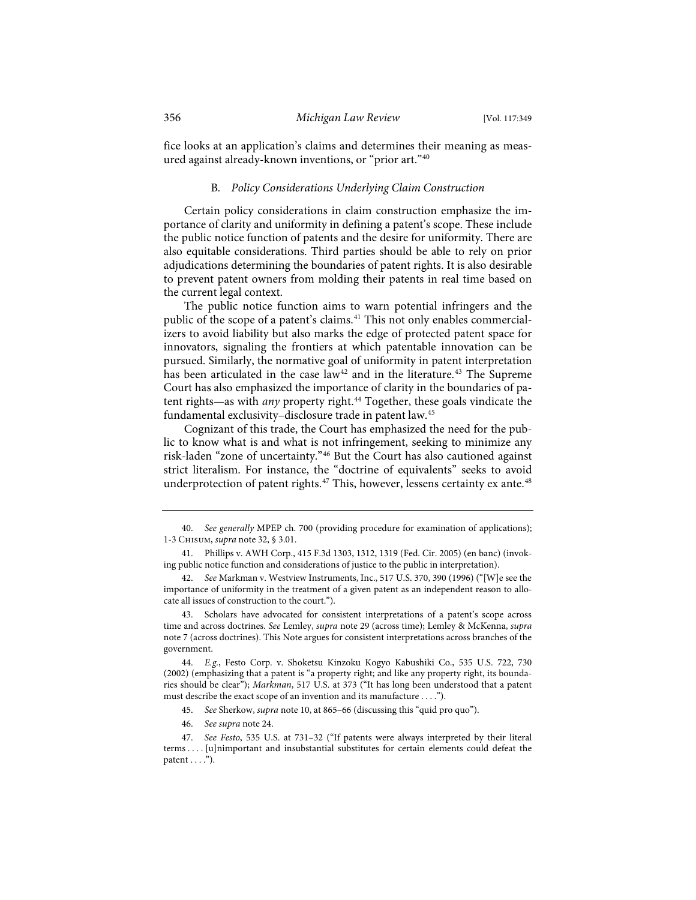fice looks at an application's claims and determines their meaning as measured against already-known inventions, or "prior art."40

#### B*. Policy Considerations Underlying Claim Construction*

Certain policy considerations in claim construction emphasize the importance of clarity and uniformity in defining a patent's scope. These include the public notice function of patents and the desire for uniformity. There are also equitable considerations. Third parties should be able to rely on prior adjudications determining the boundaries of patent rights. It is also desirable to prevent patent owners from molding their patents in real time based on the current legal context.

The public notice function aims to warn potential infringers and the public of the scope of a patent's claims.<sup>41</sup> This not only enables commercializers to avoid liability but also marks the edge of protected patent space for innovators, signaling the frontiers at which patentable innovation can be pursued. Similarly, the normative goal of uniformity in patent interpretation has been articulated in the case law<sup>42</sup> and in the literature.<sup>43</sup> The Supreme Court has also emphasized the importance of clarity in the boundaries of patent rights—as with *any* property right.<sup>44</sup> Together, these goals vindicate the fundamental exclusivity–disclosure trade in patent law.45

Cognizant of this trade, the Court has emphasized the need for the public to know what is and what is not infringement, seeking to minimize any risk-laden "zone of uncertainty."46 But the Court has also cautioned against strict literalism. For instance, the "doctrine of equivalents" seeks to avoid underprotection of patent rights.<sup>47</sup> This, however, lessens certainty ex ante.<sup>48</sup>

43. Scholars have advocated for consistent interpretations of a patent's scope across time and across doctrines. *See* Lemley, *supra* note 29 (across time); Lemley & McKenna, *supra* note 7 (across doctrines). This Note argues for consistent interpretations across branches of the government.

46. *See supra* note 24.

<sup>40.</sup> *See generally* MPEP ch. 700 (providing procedure for examination of applications); 1-3 Chisum, *supra* note 32, § 3.01.

<sup>41.</sup> Phillips v. AWH Corp., 415 F.3d 1303, 1312, 1319 (Fed. Cir. 2005) (en banc) (invoking public notice function and considerations of justice to the public in interpretation).

<sup>42.</sup> *See* Markman v. Westview Instruments, Inc., 517 U.S. 370, 390 (1996) ("[W]e see the importance of uniformity in the treatment of a given patent as an independent reason to allocate all issues of construction to the court.").

<sup>44.</sup> *E.g.*, Festo Corp. v. Shoketsu Kinzoku Kogyo Kabushiki Co., 535 U.S. 722, 730 (2002) (emphasizing that a patent is "a property right; and like any property right, its boundaries should be clear"); *Markman*, 517 U.S. at 373 ("It has long been understood that a patent must describe the exact scope of an invention and its manufacture . . . .").

<sup>45.</sup> *See* Sherkow, *supra* note 10, at 865–66 (discussing this "quid pro quo").

<sup>47.</sup> *See Festo*, 535 U.S. at 731–32 ("If patents were always interpreted by their literal terms . . . . [u]nimportant and insubstantial substitutes for certain elements could defeat the patent  $\dots$ .").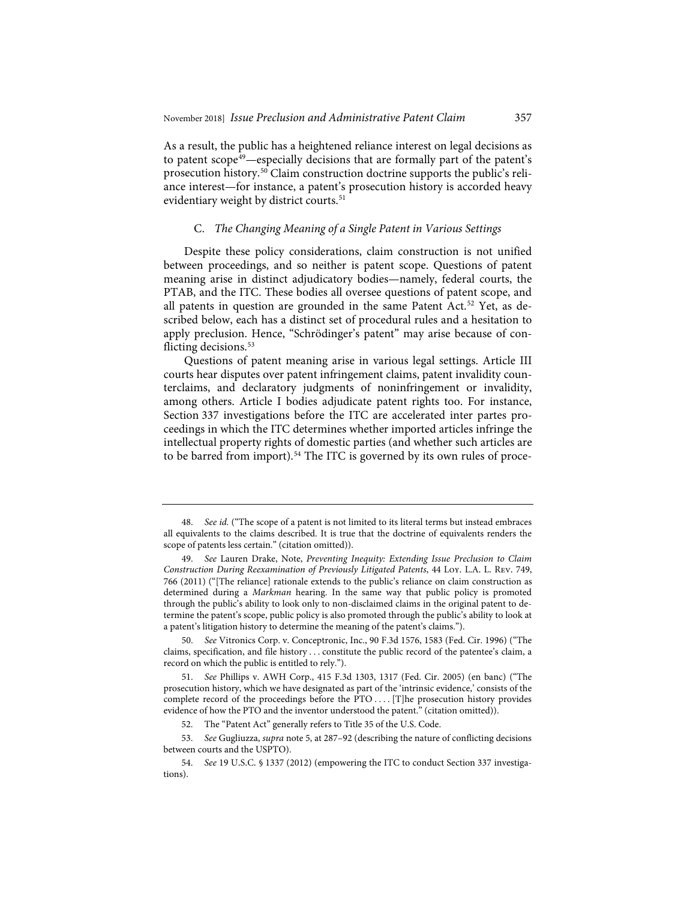As a result, the public has a heightened reliance interest on legal decisions as to patent scope<sup>49</sup>—especially decisions that are formally part of the patent's prosecution history.50 Claim construction doctrine supports the public's reliance interest—for instance, a patent's prosecution history is accorded heavy evidentiary weight by district courts.<sup>51</sup>

#### C. *The Changing Meaning of a Single Patent in Various Settings*

Despite these policy considerations, claim construction is not unified between proceedings, and so neither is patent scope. Questions of patent meaning arise in distinct adjudicatory bodies—namely, federal courts, the PTAB, and the ITC. These bodies all oversee questions of patent scope, and all patents in question are grounded in the same Patent Act.<sup>52</sup> Yet, as described below, each has a distinct set of procedural rules and a hesitation to apply preclusion. Hence, "Schrödinger's patent" may arise because of conflicting decisions.<sup>53</sup>

Questions of patent meaning arise in various legal settings. Article III courts hear disputes over patent infringement claims, patent invalidity counterclaims, and declaratory judgments of noninfringement or invalidity, among others. Article I bodies adjudicate patent rights too. For instance, Section 337 investigations before the ITC are accelerated inter partes proceedings in which the ITC determines whether imported articles infringe the intellectual property rights of domestic parties (and whether such articles are to be barred from import).<sup>54</sup> The ITC is governed by its own rules of proce-

<sup>48.</sup> *See id.* ("The scope of a patent is not limited to its literal terms but instead embraces all equivalents to the claims described. It is true that the doctrine of equivalents renders the scope of patents less certain." (citation omitted)).

<sup>49.</sup> *See* Lauren Drake, Note, *Preventing Inequity: Extending Issue Preclusion to Claim Construction During Reexamination of Previously Litigated Patents*, 44 Loy. L.A. L. Rev. 749, 766 (2011) ("[The reliance] rationale extends to the public's reliance on claim construction as determined during a *Markman* hearing. In the same way that public policy is promoted through the public's ability to look only to non-disclaimed claims in the original patent to determine the patent's scope, public policy is also promoted through the public's ability to look at a patent's litigation history to determine the meaning of the patent's claims.").

<sup>50.</sup> *See* Vitronics Corp. v. Conceptronic, Inc., 90 F.3d 1576, 1583 (Fed. Cir. 1996) ("The claims, specification, and file history . . . constitute the public record of the patentee's claim, a record on which the public is entitled to rely.").

<sup>51.</sup> *See* Phillips v. AWH Corp., 415 F.3d 1303, 1317 (Fed. Cir. 2005) (en banc) ("The prosecution history, which we have designated as part of the 'intrinsic evidence,' consists of the complete record of the proceedings before the PTO . . . . [T]he prosecution history provides evidence of how the PTO and the inventor understood the patent." (citation omitted)).

<sup>52.</sup> The "Patent Act" generally refers to Title 35 of the U.S. Code.

<sup>53.</sup> *See* Gugliuzza, *supra* note 5, at 287–92 (describing the nature of conflicting decisions between courts and the USPTO).

<sup>54.</sup> *See* 19 U.S.C. § 1337 (2012) (empowering the ITC to conduct Section 337 investigations).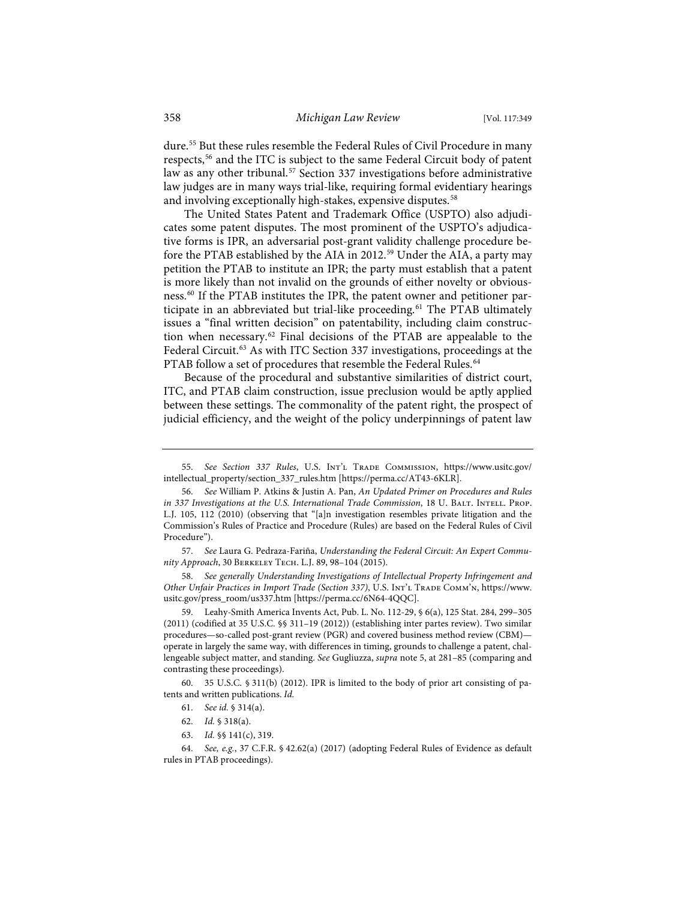dure.55 But these rules resemble the Federal Rules of Civil Procedure in many respects,56 and the ITC is subject to the same Federal Circuit body of patent law as any other tribunal.<sup>57</sup> Section 337 investigations before administrative law judges are in many ways trial-like, requiring formal evidentiary hearings and involving exceptionally high-stakes, expensive disputes.<sup>58</sup>

The United States Patent and Trademark Office (USPTO) also adjudicates some patent disputes. The most prominent of the USPTO's adjudicative forms is IPR, an adversarial post-grant validity challenge procedure before the PTAB established by the AIA in 2012.<sup>59</sup> Under the AIA, a party may petition the PTAB to institute an IPR; the party must establish that a patent is more likely than not invalid on the grounds of either novelty or obviousness.60 If the PTAB institutes the IPR, the patent owner and petitioner participate in an abbreviated but trial-like proceeding.<sup>61</sup> The PTAB ultimately issues a "final written decision" on patentability, including claim construction when necessary.62 Final decisions of the PTAB are appealable to the Federal Circuit.<sup>63</sup> As with ITC Section 337 investigations, proceedings at the PTAB follow a set of procedures that resemble the Federal Rules.<sup>64</sup>

Because of the procedural and substantive similarities of district court, ITC, and PTAB claim construction, issue preclusion would be aptly applied between these settings. The commonality of the patent right, the prospect of judicial efficiency, and the weight of the policy underpinnings of patent law

57. *See* Laura G. Pedraza-Fariña, *Understanding the Federal Circuit: An Expert Community Approach*, 30 Berkeley Tech. L.J. 89, 98–104 (2015).

58. *See generally Understanding Investigations of Intellectual Property Infringement and Other Unfair Practices in Import Trade (Section 337)*, U.S. Int'l Trade Comm'n, https://www. usitc.gov/press\_room/us337.htm [https://perma.cc/6N64-4QQC].

59. Leahy-Smith America Invents Act, Pub. L. No. 112-29, § 6(a), 125 Stat. 284, 299–305 (2011) (codified at 35 U.S.C. §§ 311–19 (2012)) (establishing inter partes review). Two similar procedures—so-called post-grant review (PGR) and covered business method review (CBM) operate in largely the same way, with differences in timing, grounds to challenge a patent, challengeable subject matter, and standing. *See* Gugliuzza, *supra* note 5, at 281–85 (comparing and contrasting these proceedings).

60. 35 U.S.C. § 311(b) (2012). IPR is limited to the body of prior art consisting of patents and written publications. *Id.*

- 61. *See id.* § 314(a).
- 62. *Id.* § 318(a).
- 63. *Id.* §§ 141(c), 319.

<sup>55.</sup> *See Section 337 Rules*, U.S. Int'l Trade Commission, https://www.usitc.gov/ intellectual\_property/section\_337\_rules.htm [https://perma.cc/AT43-6KLR].

<sup>56.</sup> *See* William P. Atkins & Justin A. Pan, *An Updated Primer on Procedures and Rules in 337 Investigations at the U.S. International Trade Commission*, 18 U. BALT. INTELL. PROP. L.J. 105, 112 (2010) (observing that "[a]n investigation resembles private litigation and the Commission's Rules of Practice and Procedure (Rules) are based on the Federal Rules of Civil Procedure").

<sup>64.</sup> *See, e.g.*, 37 C.F.R. § 42.62(a) (2017) (adopting Federal Rules of Evidence as default rules in PTAB proceedings).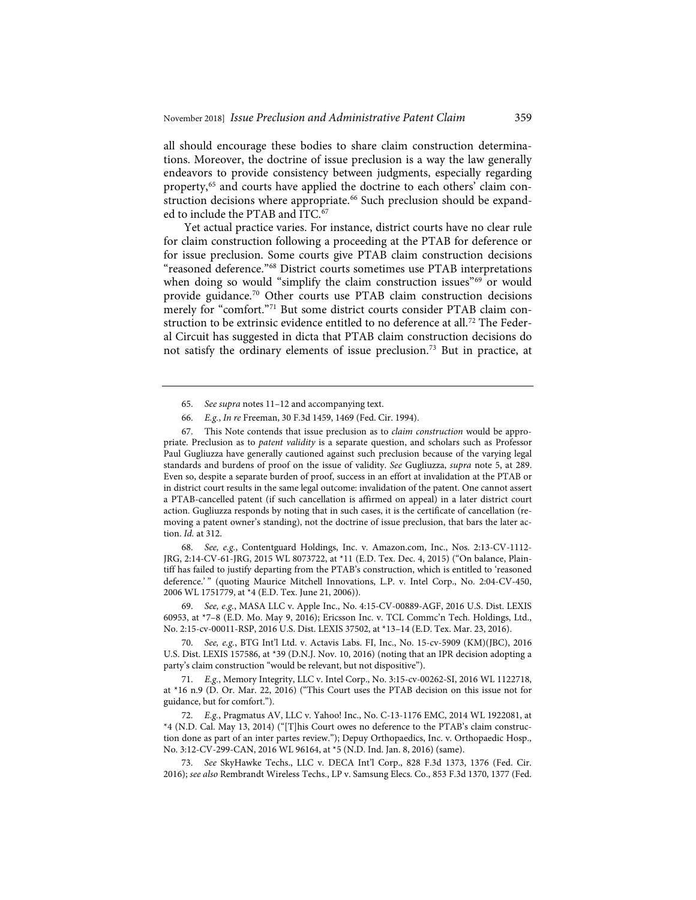all should encourage these bodies to share claim construction determinations. Moreover, the doctrine of issue preclusion is a way the law generally endeavors to provide consistency between judgments, especially regarding property,<sup>65</sup> and courts have applied the doctrine to each others' claim construction decisions where appropriate.<sup>66</sup> Such preclusion should be expanded to include the PTAB and ITC.<sup>67</sup>

Yet actual practice varies. For instance, district courts have no clear rule for claim construction following a proceeding at the PTAB for deference or for issue preclusion. Some courts give PTAB claim construction decisions "reasoned deference."68 District courts sometimes use PTAB interpretations when doing so would "simplify the claim construction issues"<sup>69</sup> or would provide guidance.<sup>70</sup> Other courts use PTAB claim construction decisions merely for "comfort."<sup>71</sup> But some district courts consider PTAB claim construction to be extrinsic evidence entitled to no deference at all.<sup>72</sup> The Federal Circuit has suggested in dicta that PTAB claim construction decisions do not satisfy the ordinary elements of issue preclusion.73 But in practice, at

This Note contends that issue preclusion as to *claim construction* would be appropriate. Preclusion as to *patent validity* is a separate question, and scholars such as Professor Paul Gugliuzza have generally cautioned against such preclusion because of the varying legal standards and burdens of proof on the issue of validity. *See* Gugliuzza, *supra* note 5, at 289. Even so, despite a separate burden of proof, success in an effort at invalidation at the PTAB or in district court results in the same legal outcome: invalidation of the patent. One cannot assert a PTAB-cancelled patent (if such cancellation is affirmed on appeal) in a later district court action. Gugliuzza responds by noting that in such cases, it is the certificate of cancellation (removing a patent owner's standing), not the doctrine of issue preclusion, that bars the later action. *Id.* at 312.

68. *See, e.g.*, Contentguard Holdings, Inc. v. Amazon.com, Inc., Nos. 2:13-CV-1112- JRG, 2:14-CV-61-JRG, 2015 WL 8073722, at \*11 (E.D. Tex. Dec. 4, 2015) ("On balance, Plaintiff has failed to justify departing from the PTAB's construction, which is entitled to 'reasoned deference.' " (quoting Maurice Mitchell Innovations, L.P. v. Intel Corp., No. 2:04-CV-450, 2006 WL 1751779, at \*4 (E.D. Tex. June 21, 2006)).

69. *See, e.g.*, MASA LLC v. Apple Inc., No. 4:15-CV-00889-AGF, 2016 U.S. Dist. LEXIS 60953, at \*7–8 (E.D. Mo. May 9, 2016); Ericsson Inc. v. TCL Commc'n Tech. Holdings, Ltd., No. 2:15-cv-00011-RSP, 2016 U.S. Dist. LEXIS 37502, at \*13–14 (E.D. Tex. Mar. 23, 2016).

70. *See, e.g.*, BTG Int'l Ltd. v. Actavis Labs. FI, Inc., No. 15-cv-5909 (KM)(JBC), 2016 U.S. Dist. LEXIS 157586, at \*39 (D.N.J. Nov. 10, 2016) (noting that an IPR decision adopting a party's claim construction "would be relevant, but not dispositive").

71. *E.g.*, Memory Integrity, LLC v. Intel Corp., No. 3:15-cv-00262-SI, 2016 WL 1122718, at \*16 n.9 (D. Or. Mar. 22, 2016) ("This Court uses the PTAB decision on this issue not for guidance, but for comfort.").

72. *E.g.*, Pragmatus AV, LLC v. Yahoo! Inc., No. C-13-1176 EMC, 2014 WL 1922081, at \*4 (N.D. Cal. May 13, 2014) ("[T]his Court owes no deference to the PTAB's claim construction done as part of an inter partes review."); Depuy Orthopaedics, Inc. v. Orthopaedic Hosp., No. 3:12-CV-299-CAN, 2016 WL 96164, at \*5 (N.D. Ind. Jan. 8, 2016) (same).

73. *See* SkyHawke Techs., LLC v. DECA Int'l Corp., 828 F.3d 1373, 1376 (Fed. Cir. 2016); *see also* Rembrandt Wireless Techs., LP v. Samsung Elecs. Co., 853 F.3d 1370, 1377 (Fed.

<sup>65.</sup> *See supra* notes 11–12 and accompanying text.

<sup>66.</sup> *E.g.*, *In re* Freeman, 30 F.3d 1459, 1469 (Fed. Cir. 1994).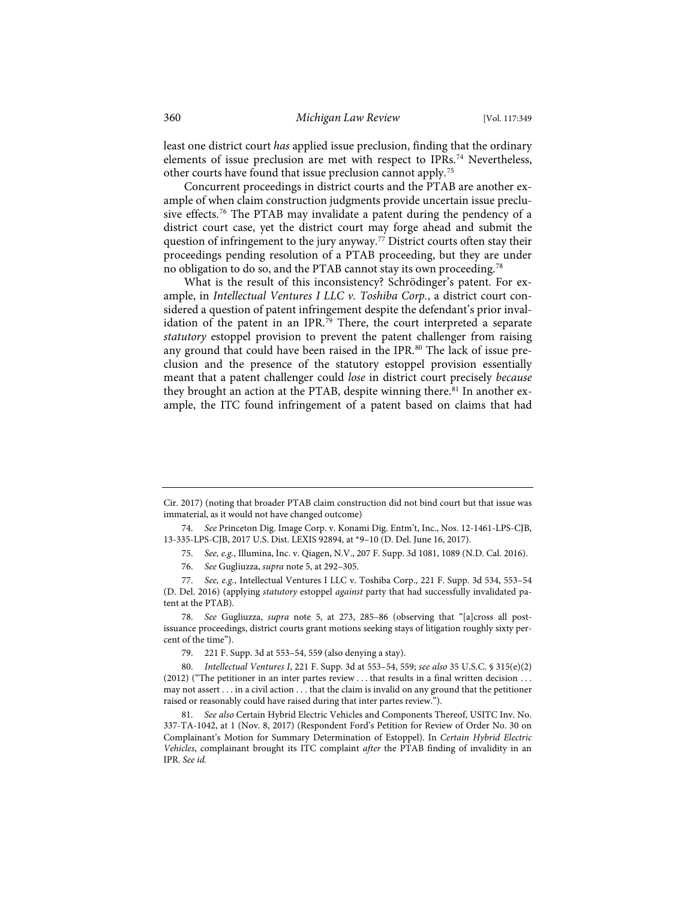least one district court *has* applied issue preclusion, finding that the ordinary elements of issue preclusion are met with respect to IPRs.<sup>74</sup> Nevertheless, other courts have found that issue preclusion cannot apply.75

Concurrent proceedings in district courts and the PTAB are another example of when claim construction judgments provide uncertain issue preclusive effects.76 The PTAB may invalidate a patent during the pendency of a district court case, yet the district court may forge ahead and submit the question of infringement to the jury anyway.<sup>77</sup> District courts often stay their proceedings pending resolution of a PTAB proceeding, but they are under no obligation to do so, and the PTAB cannot stay its own proceeding.78

What is the result of this inconsistency? Schrödinger's patent. For example, in *Intellectual Ventures I LLC v. Toshiba Corp.*, a district court considered a question of patent infringement despite the defendant's prior invalidation of the patent in an IPR.<sup>79</sup> There, the court interpreted a separate *statutory* estoppel provision to prevent the patent challenger from raising any ground that could have been raised in the IPR.<sup>80</sup> The lack of issue preclusion and the presence of the statutory estoppel provision essentially meant that a patent challenger could *lose* in district court precisely *because* they brought an action at the PTAB, despite winning there.<sup>81</sup> In another example, the ITC found infringement of a patent based on claims that had

Cir. 2017) (noting that broader PTAB claim construction did not bind court but that issue was immaterial, as it would not have changed outcome)

<sup>74.</sup> *See* Princeton Dig. Image Corp. v. Konami Dig. Entm't, Inc., Nos. 12-1461-LPS-CJB, 13-335-LPS-CJB, 2017 U.S. Dist. LEXIS 92894, at \*9–10 (D. Del. June 16, 2017).

<sup>75.</sup> *See, e.g.*, Illumina, Inc. v. Qiagen, N.V., 207 F. Supp. 3d 1081, 1089 (N.D. Cal. 2016).

<sup>76.</sup> *See* Gugliuzza, *supra* note 5, at 292–305.

<sup>77.</sup> *See, e.g.*, Intellectual Ventures I LLC v. Toshiba Corp., 221 F. Supp. 3d 534, 553–54 (D. Del. 2016) (applying *statutory* estoppel *against* party that had successfully invalidated patent at the PTAB).

<sup>78.</sup> *See* Gugliuzza, *supra* note 5, at 273, 285–86 (observing that "[a]cross all postissuance proceedings, district courts grant motions seeking stays of litigation roughly sixty percent of the time").

<sup>79. 221</sup> F. Supp. 3d at 553–54, 559 (also denying a stay).

<sup>80.</sup> *Intellectual Ventures I*, 221 F. Supp. 3d at 553–54, 559; *see also* 35 U.S.C. § 315(e)(2)  $(2012)$  ("The petitioner in an inter partes review ... that results in a final written decision ... may not assert . . . in a civil action . . . that the claim is invalid on any ground that the petitioner raised or reasonably could have raised during that inter partes review.").

<sup>81.</sup> *See also* Certain Hybrid Electric Vehicles and Components Thereof, USITC Inv. No. 337-TA-1042, at 1 (Nov. 8, 2017) (Respondent Ford's Petition for Review of Order No. 30 on Complainant's Motion for Summary Determination of Estoppel). In *Certain Hybrid Electric Vehicles*, complainant brought its ITC complaint *after* the PTAB finding of invalidity in an IPR. *See id.*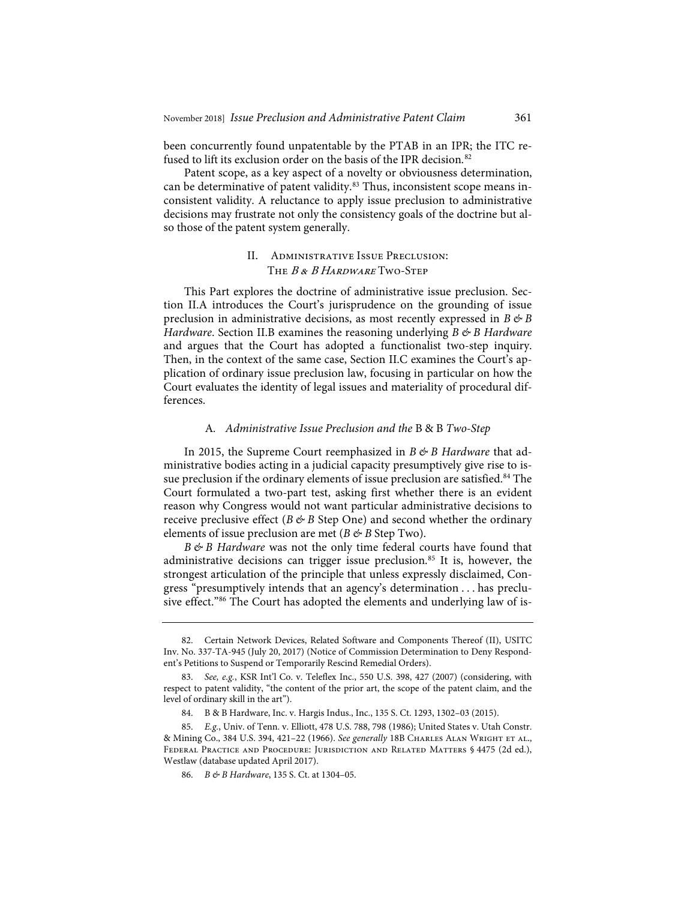been concurrently found unpatentable by the PTAB in an IPR; the ITC refused to lift its exclusion order on the basis of the IPR decision.<sup>82</sup>

Patent scope, as a key aspect of a novelty or obviousness determination, can be determinative of patent validity.<sup>83</sup> Thus, inconsistent scope means inconsistent validity. A reluctance to apply issue preclusion to administrative decisions may frustrate not only the consistency goals of the doctrine but also those of the patent system generally.

## II. Administrative Issue Preclusion: The B & B Hardware Two-Step

This Part explores the doctrine of administrative issue preclusion. Section II.A introduces the Court's jurisprudence on the grounding of issue preclusion in administrative decisions, as most recently expressed in  $B \not\in B$ *Hardware*. Section II.B examines the reasoning underlying *B & B Hardware* and argues that the Court has adopted a functionalist two-step inquiry. Then, in the context of the same case, Section II.C examines the Court's application of ordinary issue preclusion law, focusing in particular on how the Court evaluates the identity of legal issues and materiality of procedural differences.

#### A*. Administrative Issue Preclusion and the* B&B *Two-Step*

In 2015, the Supreme Court reemphasized in *B & B Hardware* that administrative bodies acting in a judicial capacity presumptively give rise to issue preclusion if the ordinary elements of issue preclusion are satisfied.<sup>84</sup> The Court formulated a two-part test, asking first whether there is an evident reason why Congress would not want particular administrative decisions to receive preclusive effect ( $B \not\in B$  Step One) and second whether the ordinary elements of issue preclusion are met ( $B \not\in B$  Step Two).

*B & B Hardware* was not the only time federal courts have found that administrative decisions can trigger issue preclusion.<sup>85</sup> It is, however, the strongest articulation of the principle that unless expressly disclaimed, Congress "presumptively intends that an agency's determination . . . has preclusive effect."<sup>86</sup> The Court has adopted the elements and underlying law of is-

<sup>82.</sup> Certain Network Devices, Related Software and Components Thereof (II), USITC Inv. No. 337-TA-945 (July 20, 2017) (Notice of Commission Determination to Deny Respondent's Petitions to Suspend or Temporarily Rescind Remedial Orders).

<sup>83.</sup> *See, e.g.*, KSR Int'l Co. v. Teleflex Inc., 550 U.S. 398, 427 (2007) (considering, with respect to patent validity, "the content of the prior art, the scope of the patent claim, and the level of ordinary skill in the art").

<sup>84.</sup> B & B Hardware, Inc. v. Hargis Indus., Inc., 135 S. Ct. 1293, 1302–03 (2015).

<sup>85.</sup> *E.g.*, Univ. of Tenn. v. Elliott, 478 U.S. 788, 798 (1986); United States v. Utah Constr. & Mining Co., 384 U.S. 394, 421–22 (1966). *See generally* 18B Charles Alan Wright et al., Federal Practice and Procedure: Jurisdiction and Related Matters § 4475 (2d ed.), Westlaw (database updated April 2017).

<sup>86.</sup> *B & B Hardware*, 135 S. Ct. at 1304–05.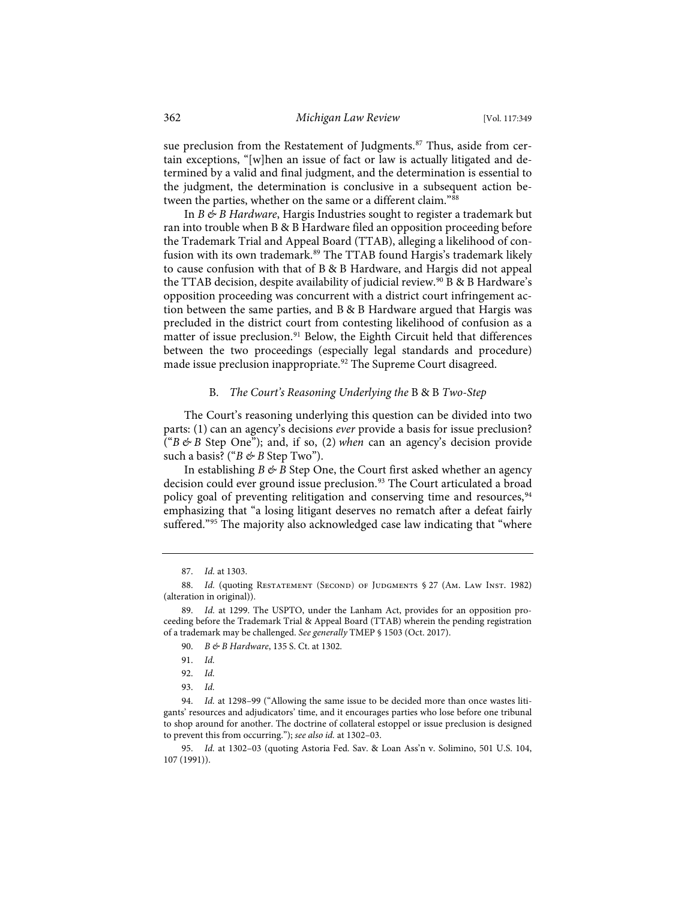sue preclusion from the Restatement of Judgments.<sup>87</sup> Thus, aside from certain exceptions, "[w]hen an issue of fact or law is actually litigated and determined by a valid and final judgment, and the determination is essential to the judgment, the determination is conclusive in a subsequent action between the parties, whether on the same or a different claim."88

In *B & B Hardware*, Hargis Industries sought to register a trademark but ran into trouble when B & B Hardware filed an opposition proceeding before the Trademark Trial and Appeal Board (TTAB), alleging a likelihood of confusion with its own trademark.<sup>89</sup> The TTAB found Hargis's trademark likely to cause confusion with that of B & B Hardware, and Hargis did not appeal the TTAB decision, despite availability of judicial review.<sup>90</sup> B & B Hardware's opposition proceeding was concurrent with a district court infringement action between the same parties, and B & B Hardware argued that Hargis was precluded in the district court from contesting likelihood of confusion as a matter of issue preclusion.<sup>91</sup> Below, the Eighth Circuit held that differences between the two proceedings (especially legal standards and procedure) made issue preclusion inappropriate.<sup>92</sup> The Supreme Court disagreed.

#### B. *The Court's Reasoning Underlying the* B&B *Two-Step*

The Court's reasoning underlying this question can be divided into two parts: (1) can an agency's decisions *ever* provide a basis for issue preclusion? ("*B&B* Step One"); and, if so, (2) *when* can an agency's decision provide such a basis? ("*B* & *B* Step Two").

In establishing  $B \not\in B$  Step One, the Court first asked whether an agency decision could ever ground issue preclusion.<sup>93</sup> The Court articulated a broad policy goal of preventing relitigation and conserving time and resources, <sup>94</sup> emphasizing that "a losing litigant deserves no rematch after a defeat fairly suffered."<sup>95</sup> The majority also acknowledged case law indicating that "where

<sup>87.</sup> *Id.* at 1303.

<sup>88.</sup> *Id.* (quoting RESTATEMENT (SECOND) OF JUDGMENTS § 27 (AM. LAW INST. 1982) (alteration in original)).

<sup>89.</sup> *Id.* at 1299. The USPTO, under the Lanham Act, provides for an opposition proceeding before the Trademark Trial & Appeal Board (TTAB) wherein the pending registration of a trademark may be challenged. *See generally* TMEP § 1503 (Oct. 2017).

<sup>90.</sup> *B & B Hardware*, 135 S. Ct. at 1302.

<sup>91.</sup> *Id.*

<sup>92.</sup> *Id.*

<sup>93.</sup> *Id.*

<sup>94.</sup> *Id.* at 1298–99 ("Allowing the same issue to be decided more than once wastes litigants' resources and adjudicators' time, and it encourages parties who lose before one tribunal to shop around for another. The doctrine of collateral estoppel or issue preclusion is designed to prevent this from occurring."); *see also id.* at 1302–03.

<sup>95.</sup> *Id.* at 1302–03 (quoting Astoria Fed. Sav. & Loan Ass'n v. Solimino, 501 U.S. 104, 107 (1991)).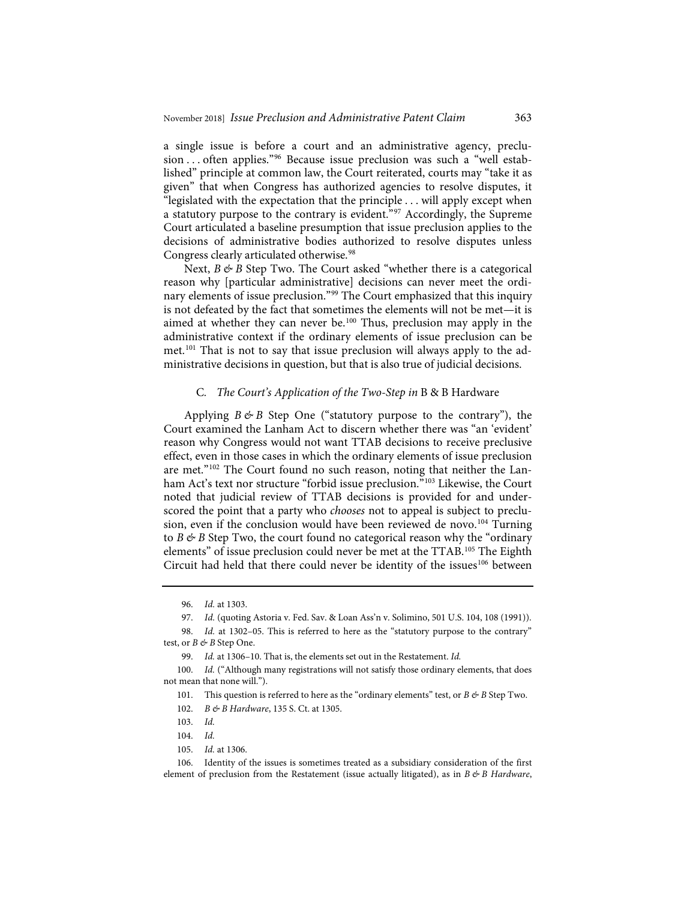a single issue is before a court and an administrative agency, preclusion ... often applies."<sup>96</sup> Because issue preclusion was such a "well established" principle at common law, the Court reiterated, courts may "take it as given" that when Congress has authorized agencies to resolve disputes, it "legislated with the expectation that the principle . . . will apply except when a statutory purpose to the contrary is evident."97 Accordingly, the Supreme Court articulated a baseline presumption that issue preclusion applies to the decisions of administrative bodies authorized to resolve disputes unless Congress clearly articulated otherwise.<sup>98</sup>

Next, *B* & *B* Step Two. The Court asked "whether there is a categorical reason why [particular administrative] decisions can never meet the ordinary elements of issue preclusion."99 The Court emphasized that this inquiry is not defeated by the fact that sometimes the elements will not be met—it is aimed at whether they can never be.<sup>100</sup> Thus, preclusion may apply in the administrative context if the ordinary elements of issue preclusion can be met.101 That is not to say that issue preclusion will always apply to the administrative decisions in question, but that is also true of judicial decisions.

#### C*. The Court's Application of the Two-Step in* B & B Hardware

Applying  $B \not\in B$  Step One ("statutory purpose to the contrary"), the Court examined the Lanham Act to discern whether there was "an 'evident' reason why Congress would not want TTAB decisions to receive preclusive effect, even in those cases in which the ordinary elements of issue preclusion are met."102 The Court found no such reason, noting that neither the Lanham Act's text nor structure "forbid issue preclusion."<sup>103</sup> Likewise, the Court noted that judicial review of TTAB decisions is provided for and underscored the point that a party who *chooses* not to appeal is subject to preclusion, even if the conclusion would have been reviewed de novo.<sup>104</sup> Turning to  $B \not\in B$  Step Two, the court found no categorical reason why the "ordinary" elements" of issue preclusion could never be met at the TTAB.105 The Eighth Circuit had held that there could never be identity of the issues<sup>106</sup> between

105. *Id.* at 1306.

<sup>96.</sup> *Id.* at 1303.

<sup>97.</sup> *Id.* (quoting Astoria v. Fed. Sav. & Loan Ass'n v. Solimino, 501 U.S. 104, 108 (1991)).

<sup>98.</sup> *Id.* at 1302–05. This is referred to here as the "statutory purpose to the contrary" test, or *B* & *B* Step One.

<sup>99.</sup> *Id.* at 1306–10. That is, the elements set out in the Restatement. *Id.*

<sup>100.</sup> *Id.* ("Although many registrations will not satisfy those ordinary elements, that does not mean that none will.").

<sup>101.</sup> This question is referred to here as the "ordinary elements" test, or *B*  $\& B$  Step Two.

<sup>102.</sup> *B & B Hardware*, 135 S. Ct. at 1305.

<sup>103.</sup> *Id.*

<sup>104.</sup> *Id.*

<sup>106.</sup> Identity of the issues is sometimes treated as a subsidiary consideration of the first element of preclusion from the Restatement (issue actually litigated), as in *B & B Hardware*,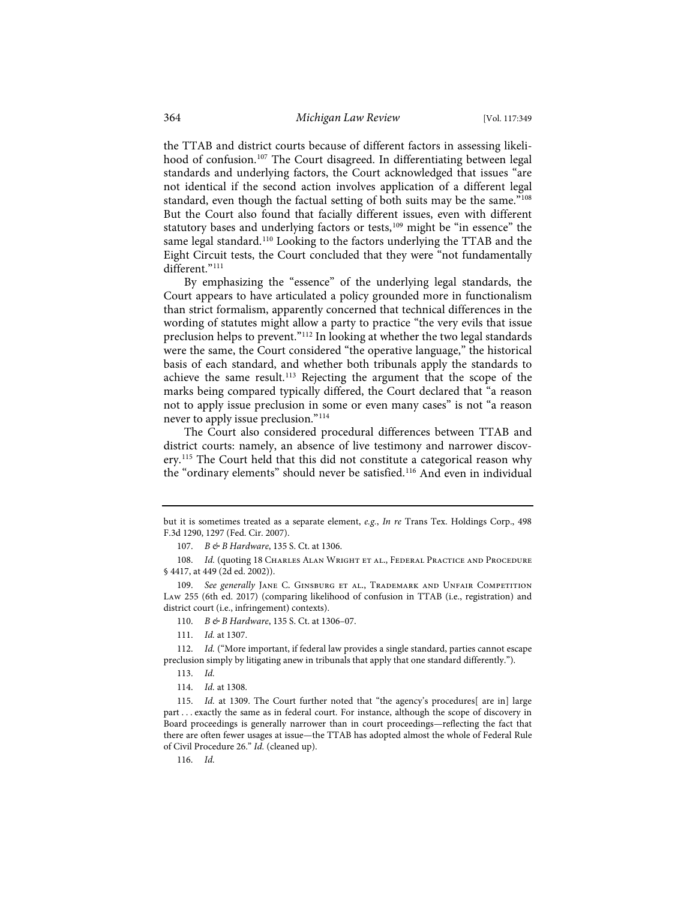the TTAB and district courts because of different factors in assessing likelihood of confusion.<sup>107</sup> The Court disagreed. In differentiating between legal standards and underlying factors, the Court acknowledged that issues "are not identical if the second action involves application of a different legal standard, even though the factual setting of both suits may be the same."<sup>108</sup> But the Court also found that facially different issues, even with different statutory bases and underlying factors or tests,<sup>109</sup> might be "in essence" the same legal standard.<sup>110</sup> Looking to the factors underlying the TTAB and the Eight Circuit tests, the Court concluded that they were "not fundamentally different."<sup>111</sup>

By emphasizing the "essence" of the underlying legal standards, the Court appears to have articulated a policy grounded more in functionalism than strict formalism, apparently concerned that technical differences in the wording of statutes might allow a party to practice "the very evils that issue preclusion helps to prevent."112 In looking at whether the two legal standards were the same, the Court considered "the operative language," the historical basis of each standard, and whether both tribunals apply the standards to achieve the same result.<sup>113</sup> Rejecting the argument that the scope of the marks being compared typically differed, the Court declared that "a reason not to apply issue preclusion in some or even many cases" is not "a reason never to apply issue preclusion."114

The Court also considered procedural differences between TTAB and district courts: namely, an absence of live testimony and narrower discovery.<sup>115</sup> The Court held that this did not constitute a categorical reason why the "ordinary elements" should never be satisfied.<sup>116</sup> And even in individual

108. *Id.* (quoting 18 CHARLES ALAN WRIGHT ET AL., FEDERAL PRACTICE AND PROCEDURE § 4417, at 449 (2d ed. 2002)).

109. *See generally* Jane C. Ginsburg et al., Trademark and Unfair Competition Law 255 (6th ed. 2017) (comparing likelihood of confusion in TTAB (i.e., registration) and district court (i.e., infringement) contexts).

110. *B & B Hardware*, 135 S. Ct. at 1306–07.

111. *Id.* at 1307.

112. *Id.* ("More important, if federal law provides a single standard, parties cannot escape preclusion simply by litigating anew in tribunals that apply that one standard differently.").

114. *Id.* at 1308.

116. *Id.*

but it is sometimes treated as a separate element, *e.g.*, *In re* Trans Tex. Holdings Corp., 498 F.3d 1290, 1297 (Fed. Cir. 2007).

<sup>107.</sup> *B & B Hardware*, 135 S. Ct. at 1306.

<sup>113.</sup> *Id.*

<sup>115.</sup> *Id.* at 1309. The Court further noted that "the agency's procedures[ are in] large part . . . exactly the same as in federal court. For instance, although the scope of discovery in Board proceedings is generally narrower than in court proceedings—reflecting the fact that there are often fewer usages at issue—the TTAB has adopted almost the whole of Federal Rule of Civil Procedure 26." *Id.* (cleaned up).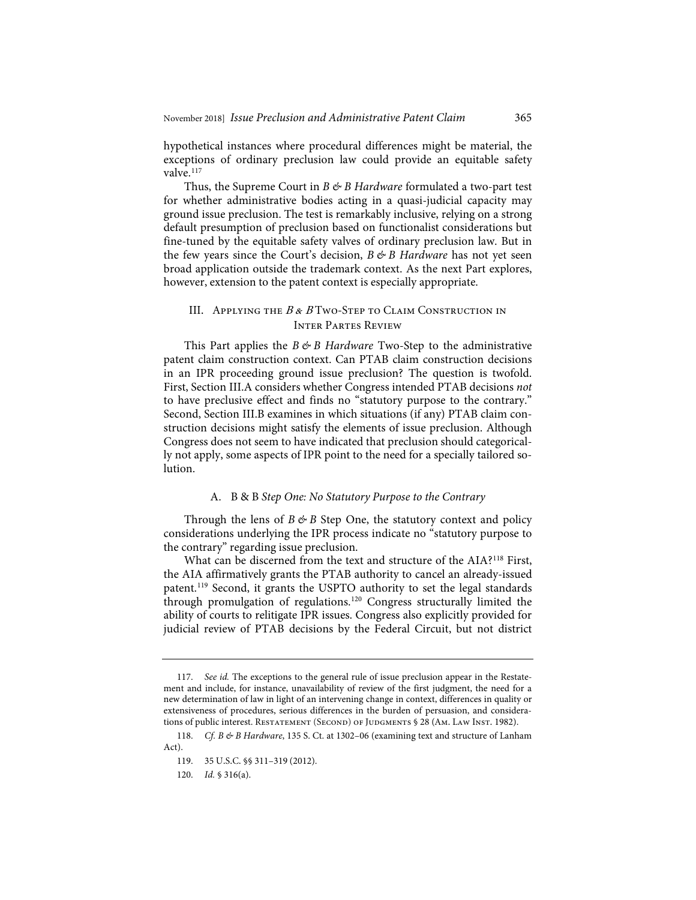hypothetical instances where procedural differences might be material, the exceptions of ordinary preclusion law could provide an equitable safety valve.<sup>117</sup>

Thus, the Supreme Court in *B & B Hardware* formulated a two-part test for whether administrative bodies acting in a quasi-judicial capacity may ground issue preclusion. The test is remarkably inclusive, relying on a strong default presumption of preclusion based on functionalist considerations but fine-tuned by the equitable safety valves of ordinary preclusion law. But in the few years since the Court's decision, *B & B Hardware* has not yet seen broad application outside the trademark context. As the next Part explores, however, extension to the patent context is especially appropriate.

## III. APPLYING THE  $B & B$  Two-Step to Claim Construction in Inter Partes Review

This Part applies the *B & B Hardware* Two-Step to the administrative patent claim construction context. Can PTAB claim construction decisions in an IPR proceeding ground issue preclusion? The question is twofold. First, Section III.A considers whether Congress intended PTAB decisions *not* to have preclusive effect and finds no "statutory purpose to the contrary." Second, Section III.B examines in which situations (if any) PTAB claim construction decisions might satisfy the elements of issue preclusion. Although Congress does not seem to have indicated that preclusion should categorically not apply, some aspects of IPR point to the need for a specially tailored solution.

#### A. B & B *Step One: No Statutory Purpose to the Contrary*

Through the lens of  $B \not\in B$  Step One, the statutory context and policy considerations underlying the IPR process indicate no "statutory purpose to the contrary" regarding issue preclusion.

What can be discerned from the text and structure of the AIA?<sup>118</sup> First, the AIA affirmatively grants the PTAB authority to cancel an already-issued patent.119 Second, it grants the USPTO authority to set the legal standards through promulgation of regulations.120 Congress structurally limited the ability of courts to relitigate IPR issues. Congress also explicitly provided for judicial review of PTAB decisions by the Federal Circuit, but not district

<sup>117.</sup> *See id.* The exceptions to the general rule of issue preclusion appear in the Restatement and include, for instance, unavailability of review of the first judgment, the need for a new determination of law in light of an intervening change in context, differences in quality or extensiveness of procedures, serious differences in the burden of persuasion, and considerations of public interest. RESTATEMENT (SECOND) OF JUDGMENTS § 28 (AM. LAW INST. 1982).

<sup>118.</sup> *Cf. B & B Hardware*, 135 S. Ct. at 1302–06 (examining text and structure of Lanham Act).

<sup>119. 35</sup> U.S.C. §§ 311–319 (2012).

<sup>120.</sup> *Id.* § 316(a).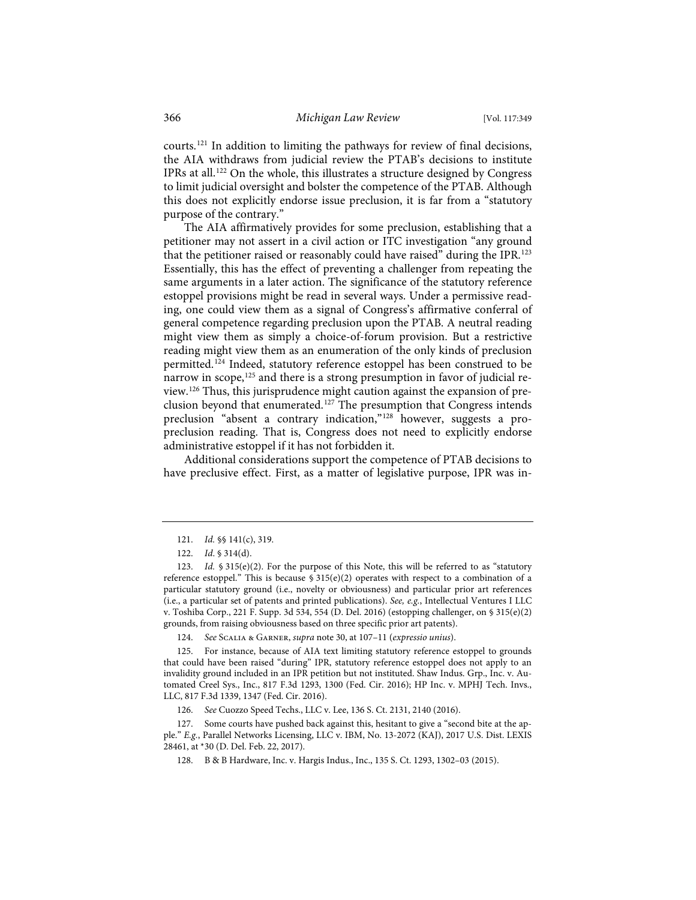courts.121 In addition to limiting the pathways for review of final decisions, the AIA withdraws from judicial review the PTAB's decisions to institute IPRs at all.<sup>122</sup> On the whole, this illustrates a structure designed by Congress to limit judicial oversight and bolster the competence of the PTAB. Although this does not explicitly endorse issue preclusion, it is far from a "statutory purpose of the contrary."

The AIA affirmatively provides for some preclusion, establishing that a petitioner may not assert in a civil action or ITC investigation "any ground that the petitioner raised or reasonably could have raised" during the IPR.<sup>123</sup> Essentially, this has the effect of preventing a challenger from repeating the same arguments in a later action. The significance of the statutory reference estoppel provisions might be read in several ways. Under a permissive reading, one could view them as a signal of Congress's affirmative conferral of general competence regarding preclusion upon the PTAB. A neutral reading might view them as simply a choice-of-forum provision. But a restrictive reading might view them as an enumeration of the only kinds of preclusion permitted.<sup>124</sup> Indeed, statutory reference estoppel has been construed to be narrow in scope,<sup>125</sup> and there is a strong presumption in favor of judicial review.126 Thus, this jurisprudence might caution against the expansion of preclusion beyond that enumerated.127 The presumption that Congress intends preclusion "absent a contrary indication,"128 however, suggests a propreclusion reading. That is, Congress does not need to explicitly endorse administrative estoppel if it has not forbidden it.

Additional considerations support the competence of PTAB decisions to have preclusive effect. First, as a matter of legislative purpose, IPR was in-

124. *See* Scalia & Garner, *supra* note 30, at 107–11 (*expressio unius*).

125. For instance, because of AIA text limiting statutory reference estoppel to grounds that could have been raised "during" IPR, statutory reference estoppel does not apply to an invalidity ground included in an IPR petition but not instituted. Shaw Indus. Grp., Inc. v. Automated Creel Sys., Inc., 817 F.3d 1293, 1300 (Fed. Cir. 2016); HP Inc. v. MPHJ Tech. Invs., LLC, 817 F.3d 1339, 1347 (Fed. Cir. 2016).

126. *See* Cuozzo Speed Techs., LLC v. Lee, 136 S. Ct. 2131, 2140 (2016).

127. Some courts have pushed back against this, hesitant to give a "second bite at the apple." *E.g.*, Parallel Networks Licensing, LLC v. IBM, No. 13-2072 (KAJ), 2017 U.S. Dist. LEXIS 28461, at \*30 (D. Del. Feb. 22, 2017).

128. B & B Hardware, Inc. v. Hargis Indus., Inc., 135 S. Ct. 1293, 1302–03 (2015).

<sup>121.</sup> *Id.* §§ 141(c), 319.

<sup>122.</sup> *Id*. § 314(d).

<sup>123.</sup> *Id.* § 315(e)(2). For the purpose of this Note, this will be referred to as "statutory reference estoppel." This is because  $$315(e)(2)$  operates with respect to a combination of a particular statutory ground (i.e., novelty or obviousness) and particular prior art references (i.e., a particular set of patents and printed publications). *See, e.g.*, Intellectual Ventures I LLC v. Toshiba Corp., 221 F. Supp. 3d 534, 554 (D. Del. 2016) (estopping challenger, on § 315(e)(2) grounds, from raising obviousness based on three specific prior art patents).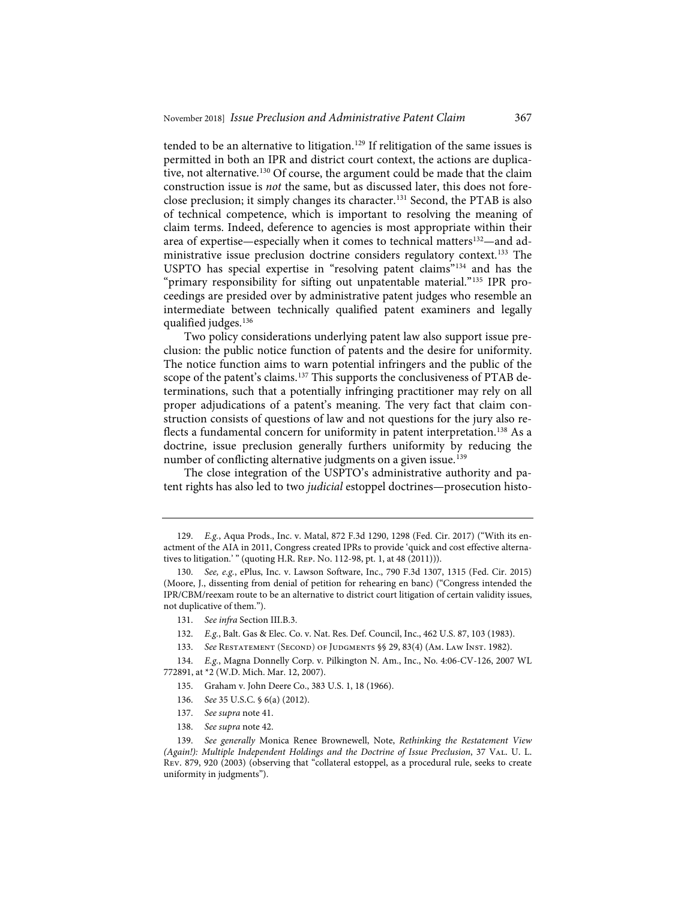tended to be an alternative to litigation.<sup>129</sup> If relitigation of the same issues is permitted in both an IPR and district court context, the actions are duplicative, not alternative.<sup>130</sup> Of course, the argument could be made that the claim construction issue is *not* the same, but as discussed later, this does not foreclose preclusion; it simply changes its character.<sup>131</sup> Second, the PTAB is also of technical competence, which is important to resolving the meaning of claim terms. Indeed, deference to agencies is most appropriate within their area of expertise—especially when it comes to technical matters<sup>132</sup>—and administrative issue preclusion doctrine considers regulatory context.<sup>133</sup> The USPTO has special expertise in "resolving patent claims"134 and has the "primary responsibility for sifting out unpatentable material."135 IPR proceedings are presided over by administrative patent judges who resemble an intermediate between technically qualified patent examiners and legally qualified judges.136

Two policy considerations underlying patent law also support issue preclusion: the public notice function of patents and the desire for uniformity. The notice function aims to warn potential infringers and the public of the scope of the patent's claims.<sup>137</sup> This supports the conclusiveness of PTAB determinations, such that a potentially infringing practitioner may rely on all proper adjudications of a patent's meaning. The very fact that claim construction consists of questions of law and not questions for the jury also reflects a fundamental concern for uniformity in patent interpretation.<sup>138</sup> As a doctrine, issue preclusion generally furthers uniformity by reducing the number of conflicting alternative judgments on a given issue.<sup>139</sup>

The close integration of the USPTO's administrative authority and patent rights has also led to two *judicial* estoppel doctrines—prosecution histo-

- 136. *See* 35 U.S.C. § 6(a) (2012).
- 137. *See supra* note 41.
- 138. *See supra* note 42.

<sup>129.</sup> *E.g.*, Aqua Prods., Inc. v. Matal, 872 F.3d 1290, 1298 (Fed. Cir. 2017) ("With its enactment of the AIA in 2011, Congress created IPRs to provide 'quick and cost effective alternatives to litigation.' " (quoting H.R. Rep. No. 112-98, pt. 1, at 48 (2011))).

<sup>130.</sup> *See, e.g.*, ePlus, Inc. v. Lawson Software, Inc., 790 F.3d 1307, 1315 (Fed. Cir. 2015) (Moore, J., dissenting from denial of petition for rehearing en banc) ("Congress intended the IPR/CBM/reexam route to be an alternative to district court litigation of certain validity issues, not duplicative of them.").

<sup>131.</sup> *See infra* Section III.B.3.

<sup>132.</sup> *E.g.*, Balt. Gas & Elec. Co. v. Nat. Res. Def. Council, Inc., 462 U.S. 87, 103 (1983).

<sup>133.</sup> *See* Restatement (Second) of Judgments §§ 29, 83(4) (Am. Law Inst. 1982).

<sup>134.</sup> *E.g.*, Magna Donnelly Corp. v. Pilkington N. Am., Inc., No. 4:06-CV-126, 2007 WL 772891, at \*2 (W.D. Mich. Mar. 12, 2007).

<sup>135.</sup> Graham v. John Deere Co., 383 U.S. 1, 18 (1966).

<sup>139.</sup> *See generally* Monica Renee Brownewell, Note, *Rethinking the Restatement View (Again!): Multiple Independent Holdings and the Doctrine of Issue Preclusion*, 37 Val. U. L. Rev. 879, 920 (2003) (observing that "collateral estoppel, as a procedural rule, seeks to create uniformity in judgments").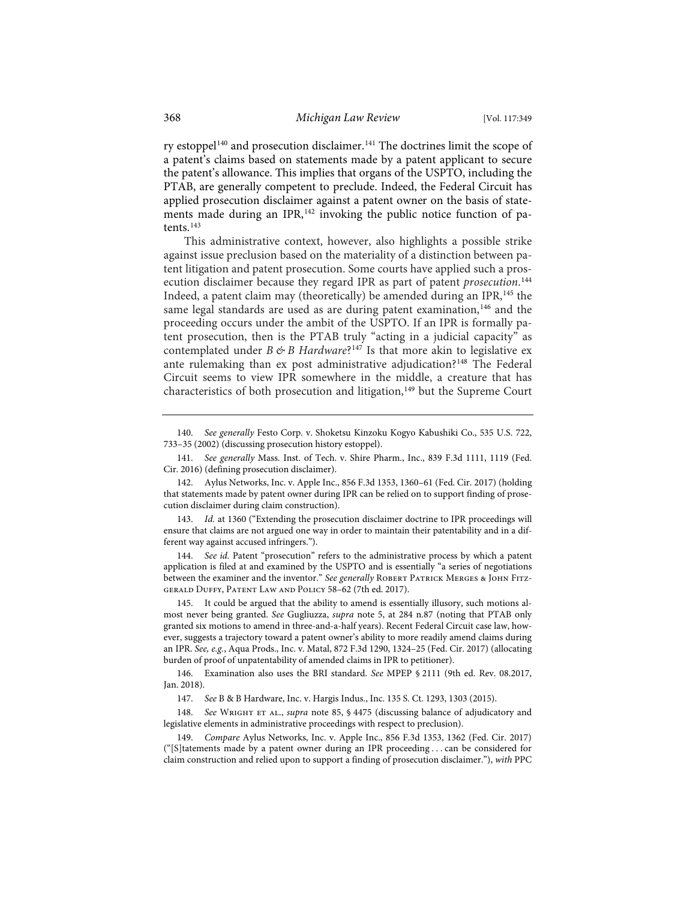ry estoppel<sup>140</sup> and prosecution disclaimer.<sup>141</sup> The doctrines limit the scope of a patent's claims based on statements made by a patent applicant to secure the patent's allowance. This implies that organs of the USPTO, including the PTAB, are generally competent to preclude. Indeed, the Federal Circuit has applied prosecution disclaimer against a patent owner on the basis of statements made during an IPR,<sup>142</sup> invoking the public notice function of patents.<sup>143</sup>

This administrative context, however, also highlights a possible strike against issue preclusion based on the materiality of a distinction between patent litigation and patent prosecution. Some courts have applied such a prosecution disclaimer because they regard IPR as part of patent *prosecution*. 144 Indeed, a patent claim may (theoretically) be amended during an IPR,<sup>145</sup> the same legal standards are used as are during patent examination,<sup>146</sup> and the proceeding occurs under the ambit of the USPTO. If an IPR is formally patent prosecution, then is the PTAB truly "acting in a judicial capacity" as contemplated under *B & B Hardware*?<sup>147</sup> Is that more akin to legislative ex ante rulemaking than ex post administrative adjudication?<sup>148</sup> The Federal Circuit seems to view IPR somewhere in the middle, a creature that has characteristics of both prosecution and litigation,<sup>149</sup> but the Supreme Court

144. *See id.* Patent "prosecution" refers to the administrative process by which a patent application is filed at and examined by the USPTO and is essentially "a series of negotiations between the examiner and the inventor." See generally ROBERT PATRICK MERGES & JOHN FITZgerald Duffy, Patent Law and Policy 58–62 (7th ed. 2017).

145. It could be argued that the ability to amend is essentially illusory, such motions almost never being granted. *See* Gugliuzza, *supra* note 5, at 284 n.87 (noting that PTAB only granted six motions to amend in three-and-a-half years). Recent Federal Circuit case law, however, suggests a trajectory toward a patent owner's ability to more readily amend claims during an IPR. *See, e.g.*, Aqua Prods., Inc. v. Matal, 872 F.3d 1290, 1324–25 (Fed. Cir. 2017) (allocating burden of proof of unpatentability of amended claims in IPR to petitioner).

146. Examination also uses the BRI standard. *See* MPEP § 2111 (9th ed. Rev. 08.2017, Jan. 2018).

148. See WRIGHT ET AL., *supra* note 85, § 4475 (discussing balance of adjudicatory and legislative elements in administrative proceedings with respect to preclusion).

149. *Compare* Aylus Networks, Inc. v. Apple Inc., 856 F.3d 1353, 1362 (Fed. Cir. 2017) ("[S]tatements made by a patent owner during an IPR proceeding . . . can be considered for claim construction and relied upon to support a finding of prosecution disclaimer."), *with* PPC

<sup>140.</sup> *See generally* Festo Corp. v. Shoketsu Kinzoku Kogyo Kabushiki Co., 535 U.S. 722, 733–35 (2002) (discussing prosecution history estoppel).

<sup>141.</sup> *See generally* Mass. Inst. of Tech. v. Shire Pharm., Inc., 839 F.3d 1111, 1119 (Fed. Cir. 2016) (defining prosecution disclaimer).

<sup>142.</sup> Aylus Networks, Inc. v. Apple Inc., 856 F.3d 1353, 1360–61 (Fed. Cir. 2017) (holding that statements made by patent owner during IPR can be relied on to support finding of prosecution disclaimer during claim construction).

<sup>143.</sup> *Id.* at 1360 ("Extending the prosecution disclaimer doctrine to IPR proceedings will ensure that claims are not argued one way in order to maintain their patentability and in a different way against accused infringers.").

<sup>147.</sup> *See* B & B Hardware, Inc. v. Hargis Indus., Inc. 135 S. Ct. 1293, 1303 (2015).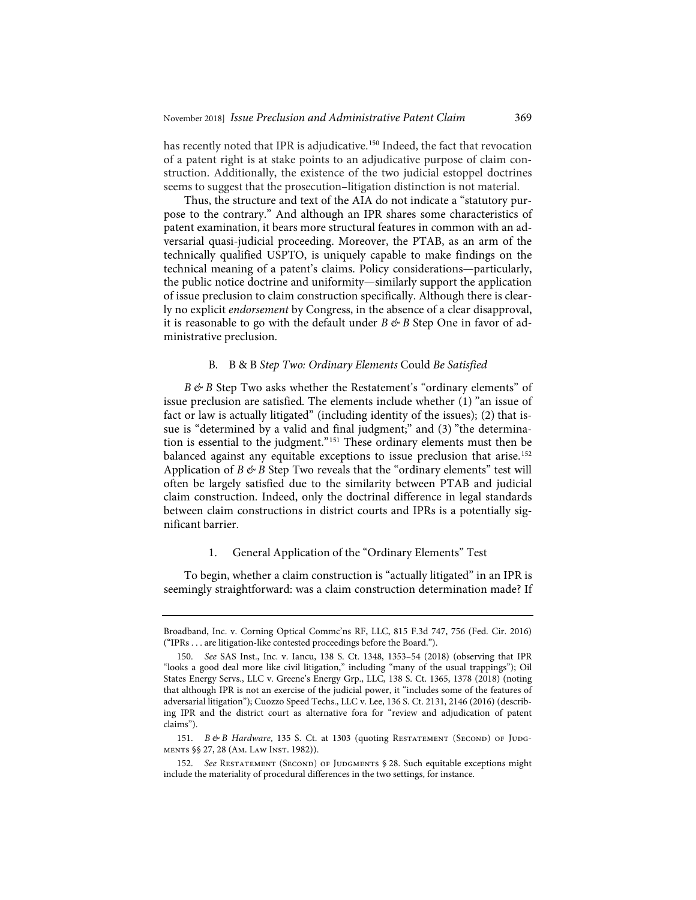has recently noted that IPR is adjudicative.<sup>150</sup> Indeed, the fact that revocation of a patent right is at stake points to an adjudicative purpose of claim construction. Additionally, the existence of the two judicial estoppel doctrines seems to suggest that the prosecution–litigation distinction is not material.

Thus, the structure and text of the AIA do not indicate a "statutory purpose to the contrary." And although an IPR shares some characteristics of patent examination, it bears more structural features in common with an adversarial quasi-judicial proceeding. Moreover, the PTAB, as an arm of the technically qualified USPTO, is uniquely capable to make findings on the technical meaning of a patent's claims. Policy considerations—particularly, the public notice doctrine and uniformity—similarly support the application of issue preclusion to claim construction specifically. Although there is clearly no explicit *endorsement* by Congress, in the absence of a clear disapproval, it is reasonable to go with the default under  $B \not\leftrightarrow B$  Step One in favor of administrative preclusion.

#### B*.* B&B *Step Two: Ordinary Elements* Could *Be Satisfied*

*B*  $\&$  *B* Step Two asks whether the Restatement's "ordinary elements" of issue preclusion are satisfied. The elements include whether (1) "an issue of fact or law is actually litigated" (including identity of the issues); (2) that issue is "determined by a valid and final judgment;" and (3) "the determination is essential to the judgment."151 These ordinary elements must then be balanced against any equitable exceptions to issue preclusion that arise.<sup>152</sup> Application of *B*  $\&$  *B* Step Two reveals that the "ordinary elements" test will often be largely satisfied due to the similarity between PTAB and judicial claim construction. Indeed, only the doctrinal difference in legal standards between claim constructions in district courts and IPRs is a potentially significant barrier.

#### 1. General Application of the "Ordinary Elements" Test

To begin, whether a claim construction is "actually litigated" in an IPR is seemingly straightforward: was a claim construction determination made? If

151. *B & B Hardware*, 135 S. Ct. at 1303 (quoting RESTATEMENT (SECOND) OF JUDGments §§ 27, 28 (Am. Law Inst. 1982)).

Broadband, Inc. v. Corning Optical Commc'ns RF, LLC, 815 F.3d 747, 756 (Fed. Cir. 2016) ("IPRs . . . are litigation-like contested proceedings before the Board.").

<sup>150.</sup> *See* SAS Inst., Inc. v. Iancu, 138 S. Ct. 1348, 1353–54 (2018) (observing that IPR "looks a good deal more like civil litigation," including "many of the usual trappings"); Oil States Energy Servs., LLC v. Greene's Energy Grp., LLC, 138 S. Ct. 1365, 1378 (2018) (noting that although IPR is not an exercise of the judicial power, it "includes some of the features of adversarial litigation"); Cuozzo Speed Techs., LLC v. Lee, 136 S. Ct. 2131, 2146 (2016) (describing IPR and the district court as alternative fora for "review and adjudication of patent claims").

<sup>152.</sup> See RESTATEMENT (SECOND) OF JUDGMENTS § 28. Such equitable exceptions might include the materiality of procedural differences in the two settings, for instance.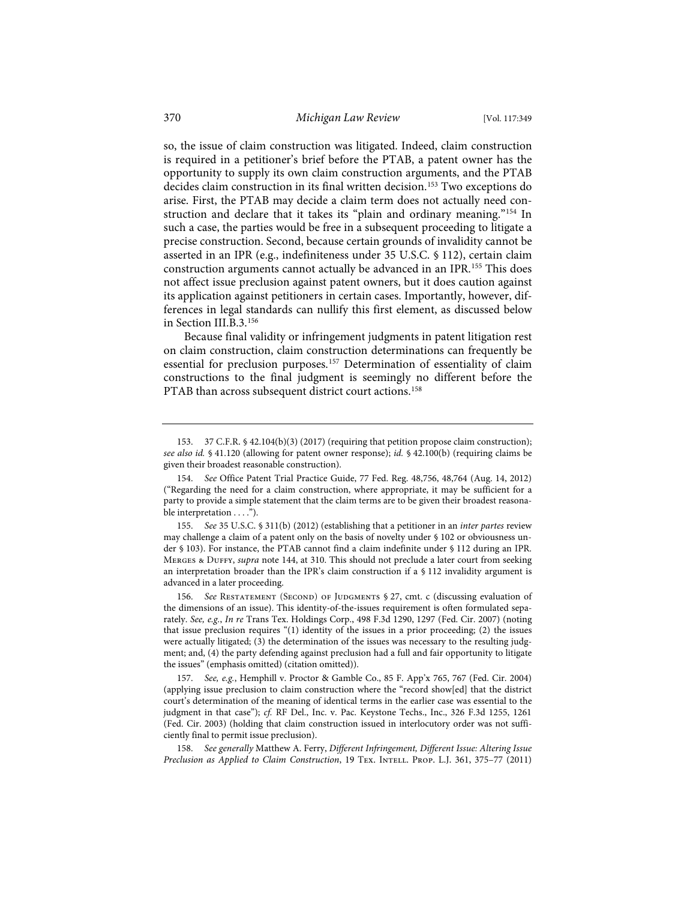so, the issue of claim construction was litigated. Indeed, claim construction is required in a petitioner's brief before the PTAB, a patent owner has the opportunity to supply its own claim construction arguments, and the PTAB decides claim construction in its final written decision.<sup>153</sup> Two exceptions do arise. First, the PTAB may decide a claim term does not actually need construction and declare that it takes its "plain and ordinary meaning."154 In such a case, the parties would be free in a subsequent proceeding to litigate a precise construction. Second, because certain grounds of invalidity cannot be asserted in an IPR (e.g., indefiniteness under 35 U.S.C. § 112), certain claim construction arguments cannot actually be advanced in an IPR.<sup>155</sup> This does not affect issue preclusion against patent owners, but it does caution against its application against petitioners in certain cases. Importantly, however, differences in legal standards can nullify this first element, as discussed below in Section III.B.3.156

Because final validity or infringement judgments in patent litigation rest on claim construction, claim construction determinations can frequently be essential for preclusion purposes.157 Determination of essentiality of claim constructions to the final judgment is seemingly no different before the PTAB than across subsequent district court actions.<sup>158</sup>

155. *See* 35 U.S.C. § 311(b) (2012) (establishing that a petitioner in an *inter partes* review may challenge a claim of a patent only on the basis of novelty under § 102 or obviousness under § 103). For instance, the PTAB cannot find a claim indefinite under § 112 during an IPR. MERGES & DUFFY, *supra* note 144, at 310. This should not preclude a later court from seeking an interpretation broader than the IPR's claim construction if a § 112 invalidity argument is advanced in a later proceeding.

156. *See* Restatement (Second) of Judgments § 27, cmt. c (discussing evaluation of the dimensions of an issue). This identity-of-the-issues requirement is often formulated separately. *See, e.g.*, *In re* Trans Tex. Holdings Corp., 498 F.3d 1290, 1297 (Fed. Cir. 2007) (noting that issue preclusion requires "(1) identity of the issues in a prior proceeding; (2) the issues were actually litigated; (3) the determination of the issues was necessary to the resulting judgment; and, (4) the party defending against preclusion had a full and fair opportunity to litigate the issues" (emphasis omitted) (citation omitted)).

157. *See, e.g.*, Hemphill v. Proctor & Gamble Co., 85 F. App'x 765, 767 (Fed. Cir. 2004) (applying issue preclusion to claim construction where the "record show[ed] that the district court's determination of the meaning of identical terms in the earlier case was essential to the judgment in that case"); *cf.* RF Del., Inc. v. Pac. Keystone Techs., Inc., 326 F.3d 1255, 1261 (Fed. Cir. 2003) (holding that claim construction issued in interlocutory order was not sufficiently final to permit issue preclusion).

158. *See generally* Matthew A. Ferry, *Different Infringement, Different Issue: Altering Issue Preclusion as Applied to Claim Construction*, 19 Tex. Intell. Prop. L.J. 361, 375–77 (2011)

<sup>153. 37</sup> C.F.R. § 42.104(b)(3) (2017) (requiring that petition propose claim construction); *see also id.* § 41.120 (allowing for patent owner response); *id.* § 42.100(b) (requiring claims be given their broadest reasonable construction).

<sup>154.</sup> *See* Office Patent Trial Practice Guide, 77 Fed. Reg. 48,756, 48,764 (Aug. 14, 2012) ("Regarding the need for a claim construction, where appropriate, it may be sufficient for a party to provide a simple statement that the claim terms are to be given their broadest reasonable interpretation . . . .").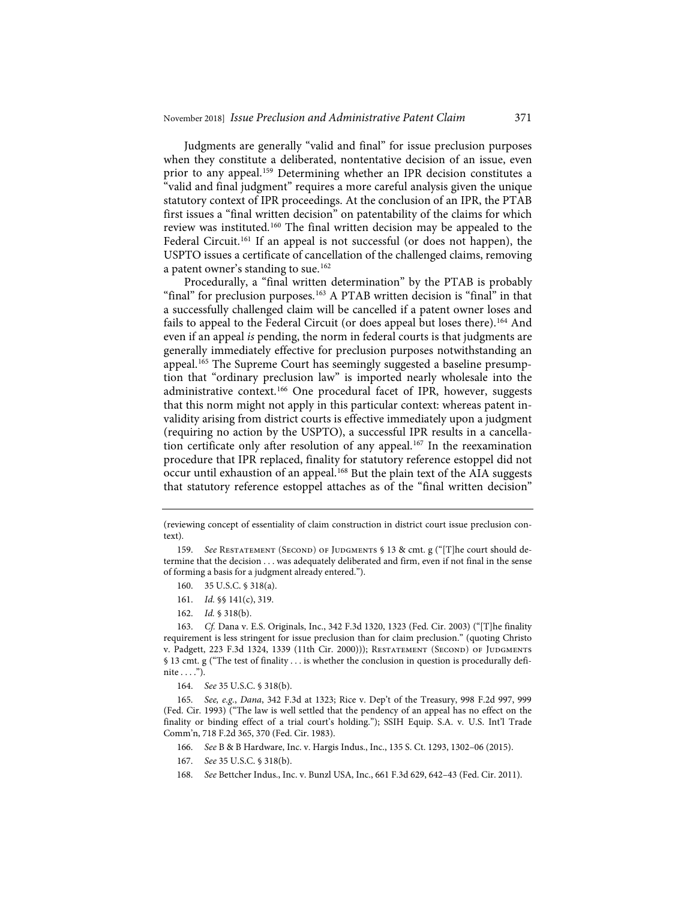Judgments are generally "valid and final" for issue preclusion purposes when they constitute a deliberated, nontentative decision of an issue, even prior to any appeal.<sup>159</sup> Determining whether an IPR decision constitutes a "valid and final judgment" requires a more careful analysis given the unique statutory context of IPR proceedings. At the conclusion of an IPR, the PTAB first issues a "final written decision" on patentability of the claims for which review was instituted.160 The final written decision may be appealed to the Federal Circuit.<sup>161</sup> If an appeal is not successful (or does not happen), the USPTO issues a certificate of cancellation of the challenged claims, removing a patent owner's standing to sue.<sup>162</sup>

Procedurally, a "final written determination" by the PTAB is probably "final" for preclusion purposes.<sup>163</sup> A PTAB written decision is "final" in that a successfully challenged claim will be cancelled if a patent owner loses and fails to appeal to the Federal Circuit (or does appeal but loses there).<sup>164</sup> And even if an appeal *is* pending, the norm in federal courts is that judgments are generally immediately effective for preclusion purposes notwithstanding an appeal.<sup>165</sup> The Supreme Court has seemingly suggested a baseline presumption that "ordinary preclusion law" is imported nearly wholesale into the administrative context.<sup>166</sup> One procedural facet of IPR, however, suggests that this norm might not apply in this particular context: whereas patent invalidity arising from district courts is effective immediately upon a judgment (requiring no action by the USPTO), a successful IPR results in a cancellation certificate only after resolution of any appeal.<sup>167</sup> In the reexamination procedure that IPR replaced, finality for statutory reference estoppel did not occur until exhaustion of an appeal.<sup>168</sup> But the plain text of the AIA suggests that statutory reference estoppel attaches as of the "final written decision"

- 167. *See* 35 U.S.C. § 318(b).
- 168. *See* Bettcher Indus., Inc. v. Bunzl USA, Inc., 661 F.3d 629, 642–43 (Fed. Cir. 2011).

<sup>(</sup>reviewing concept of essentiality of claim construction in district court issue preclusion context).

<sup>159.</sup> *See* Restatement (Second) of Judgments § 13 & cmt. g ("[T]he court should determine that the decision . . . was adequately deliberated and firm, even if not final in the sense of forming a basis for a judgment already entered.").

<sup>160. 35</sup> U.S.C. § 318(a).

<sup>161.</sup> *Id.* §§ 141(c), 319.

<sup>162.</sup> *Id.* § 318(b).

<sup>163.</sup> *Cf.* Dana v. E.S. Originals, Inc., 342 F.3d 1320, 1323 (Fed. Cir. 2003) ("[T]he finality requirement is less stringent for issue preclusion than for claim preclusion." (quoting Christo v. Padgett, 223 F.3d 1324, 1339 (11th Cir. 2000))); Restatement (Second) of Judgments § 13 cmt. g ("The test of finality . . . is whether the conclusion in question is procedurally definite  $\dots$ ").

<sup>164.</sup> *See* 35 U.S.C. § 318(b).

<sup>165.</sup> *See, e.g.*, *Dana*, 342 F.3d at 1323; Rice v. Dep't of the Treasury, 998 F.2d 997, 999 (Fed. Cir. 1993) ("The law is well settled that the pendency of an appeal has no effect on the finality or binding effect of a trial court's holding."); SSIH Equip. S.A. v. U.S. Int'l Trade Comm'n, 718 F.2d 365, 370 (Fed. Cir. 1983).

<sup>166.</sup> *See* B & B Hardware, Inc. v. Hargis Indus., Inc., 135 S. Ct. 1293, 1302–06 (2015).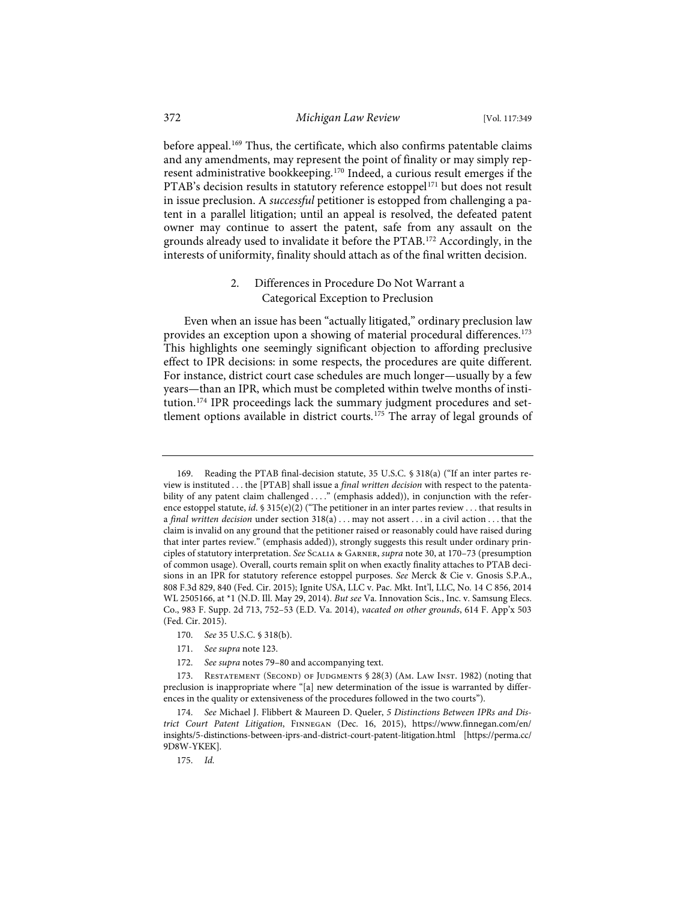before appeal.<sup>169</sup> Thus, the certificate, which also confirms patentable claims and any amendments, may represent the point of finality or may simply represent administrative bookkeeping.170 Indeed, a curious result emerges if the PTAB's decision results in statutory reference estoppel<sup>171</sup> but does not result in issue preclusion. A *successful* petitioner is estopped from challenging a patent in a parallel litigation; until an appeal is resolved, the defeated patent owner may continue to assert the patent, safe from any assault on the grounds already used to invalidate it before the PTAB.172 Accordingly, in the interests of uniformity, finality should attach as of the final written decision.

## 2. Differences in Procedure Do Not Warrant a Categorical Exception to Preclusion

Even when an issue has been "actually litigated," ordinary preclusion law provides an exception upon a showing of material procedural differences.<sup>173</sup> This highlights one seemingly significant objection to affording preclusive effect to IPR decisions: in some respects, the procedures are quite different. For instance, district court case schedules are much longer—usually by a few years—than an IPR, which must be completed within twelve months of institution.<sup>174</sup> IPR proceedings lack the summary judgment procedures and settlement options available in district courts.<sup>175</sup> The array of legal grounds of

<sup>169.</sup> Reading the PTAB final-decision statute, 35 U.S.C. § 318(a) ("If an inter partes review is instituted . . . the [PTAB] shall issue a *final written decision* with respect to the patentability of any patent claim challenged . . . ." (emphasis added)), in conjunction with the reference estoppel statute, *id*. § 315(e)(2) ("The petitioner in an inter partes review . . . that results in a *final written decision* under section 318(a) . . . may not assert . . . in a civil action . . . that the claim is invalid on any ground that the petitioner raised or reasonably could have raised during that inter partes review." (emphasis added)), strongly suggests this result under ordinary principles of statutory interpretation. *See* Scalia & Garner, *supra* note 30, at 170–73 (presumption of common usage). Overall, courts remain split on when exactly finality attaches to PTAB decisions in an IPR for statutory reference estoppel purposes. *See* Merck & Cie v. Gnosis S.P.A., 808 F.3d 829, 840 (Fed. Cir. 2015); Ignite USA, LLC v. Pac. Mkt. Int'l, LLC, No. 14 C 856, 2014 WL 2505166, at \*1 (N.D. Ill. May 29, 2014). *But see* Va. Innovation Scis., Inc. v. Samsung Elecs. Co., 983 F. Supp. 2d 713, 752–53 (E.D. Va. 2014), *vacated on other grounds*, 614 F. App'x 503 (Fed. Cir. 2015).

<sup>170.</sup> *See* 35 U.S.C. § 318(b).

<sup>171.</sup> *See supra* note 123.

<sup>172.</sup> *See supra* notes 79–80 and accompanying text.

<sup>173.</sup> RESTATEMENT (SECOND) OF JUDGMENTS § 28(3) (AM. LAW INST. 1982) (noting that preclusion is inappropriate where "[a] new determination of the issue is warranted by differences in the quality or extensiveness of the procedures followed in the two courts").

<sup>174.</sup> *See* Michael J. Flibbert & Maureen D. Queler, *5 Distinctions Between IPRs and District Court Patent Litigation*, Finnegan (Dec. 16, 2015), https://www.finnegan.com/en/ insights/5-distinctions-between-iprs-and-district-court-patent-litigation.html [https://perma.cc/ 9D8W-YKEK].

<sup>175.</sup> *Id.*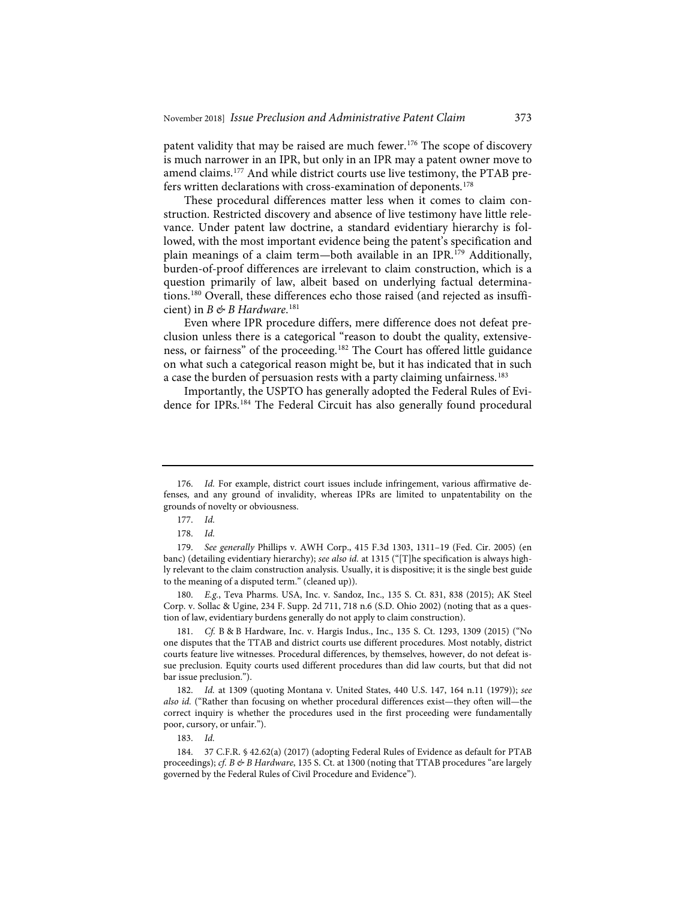patent validity that may be raised are much fewer.<sup>176</sup> The scope of discovery is much narrower in an IPR, but only in an IPR may a patent owner move to amend claims.177 And while district courts use live testimony, the PTAB prefers written declarations with cross-examination of deponents.<sup>178</sup>

These procedural differences matter less when it comes to claim construction. Restricted discovery and absence of live testimony have little relevance. Under patent law doctrine, a standard evidentiary hierarchy is followed, with the most important evidence being the patent's specification and plain meanings of a claim term—both available in an IPR.179 Additionally, burden-of-proof differences are irrelevant to claim construction, which is a question primarily of law, albeit based on underlying factual determinations.180 Overall, these differences echo those raised (and rejected as insufficient) in *B & B Hardware*. 181

Even where IPR procedure differs, mere difference does not defeat preclusion unless there is a categorical "reason to doubt the quality, extensiveness, or fairness" of the proceeding.182 The Court has offered little guidance on what such a categorical reason might be, but it has indicated that in such a case the burden of persuasion rests with a party claiming unfairness.<sup>183</sup>

Importantly, the USPTO has generally adopted the Federal Rules of Evidence for IPRs.184 The Federal Circuit has also generally found procedural

180. *E.g.*, Teva Pharms. USA, Inc. v. Sandoz, Inc., 135 S. Ct. 831, 838 (2015); AK Steel Corp. v. Sollac & Ugine, 234 F. Supp. 2d 711, 718 n.6 (S.D. Ohio 2002) (noting that as a question of law, evidentiary burdens generally do not apply to claim construction).

181. *Cf.* B & B Hardware, Inc. v. Hargis Indus., Inc., 135 S. Ct. 1293, 1309 (2015) ("No one disputes that the TTAB and district courts use different procedures. Most notably, district courts feature live witnesses. Procedural differences, by themselves, however, do not defeat issue preclusion. Equity courts used different procedures than did law courts, but that did not bar issue preclusion.").

182. *Id.* at 1309 (quoting Montana v. United States, 440 U.S. 147, 164 n.11 (1979)); *see also id.* ("Rather than focusing on whether procedural differences exist—they often will—the correct inquiry is whether the procedures used in the first proceeding were fundamentally poor, cursory, or unfair.").

183. *Id.*

184. 37 C.F.R. § 42.62(a) (2017) (adopting Federal Rules of Evidence as default for PTAB proceedings); *cf. B & B Hardware*, 135 S. Ct. at 1300 (noting that TTAB procedures "are largely governed by the Federal Rules of Civil Procedure and Evidence").

<sup>176.</sup> *Id.* For example, district court issues include infringement, various affirmative defenses, and any ground of invalidity, whereas IPRs are limited to unpatentability on the grounds of novelty or obviousness.

<sup>177.</sup> *Id.*

<sup>178.</sup> *Id.*

<sup>179.</sup> *See generally* Phillips v. AWH Corp., 415 F.3d 1303, 1311–19 (Fed. Cir. 2005) (en banc) (detailing evidentiary hierarchy); *see also id.* at 1315 ("[T]he specification is always highly relevant to the claim construction analysis. Usually, it is dispositive; it is the single best guide to the meaning of a disputed term." (cleaned up)).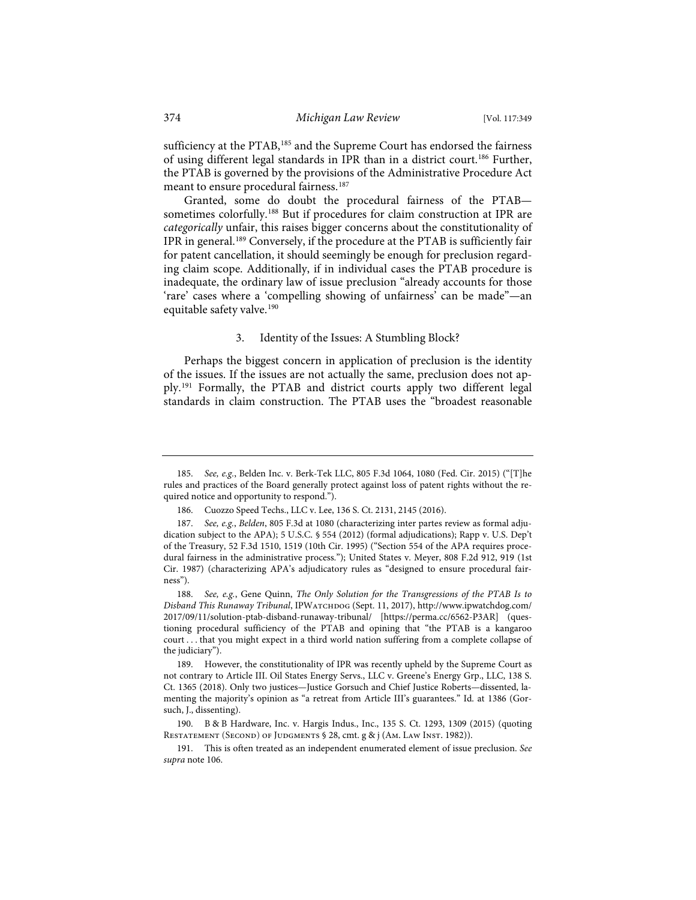sufficiency at the PTAB,<sup>185</sup> and the Supreme Court has endorsed the fairness of using different legal standards in IPR than in a district court.186 Further, the PTAB is governed by the provisions of the Administrative Procedure Act meant to ensure procedural fairness.<sup>187</sup>

Granted, some do doubt the procedural fairness of the PTAB sometimes colorfully.<sup>188</sup> But if procedures for claim construction at IPR are *categorically* unfair, this raises bigger concerns about the constitutionality of IPR in general.189 Conversely, if the procedure at the PTAB is sufficiently fair for patent cancellation, it should seemingly be enough for preclusion regarding claim scope. Additionally, if in individual cases the PTAB procedure is inadequate, the ordinary law of issue preclusion "already accounts for those 'rare' cases where a 'compelling showing of unfairness' can be made"—an equitable safety valve.<sup>190</sup>

#### 3. Identity of the Issues: A Stumbling Block?

Perhaps the biggest concern in application of preclusion is the identity of the issues. If the issues are not actually the same, preclusion does not apply.191 Formally, the PTAB and district courts apply two different legal standards in claim construction. The PTAB uses the "broadest reasonable

<sup>185.</sup> *See, e.g.*, Belden Inc. v. Berk-Tek LLC, 805 F.3d 1064, 1080 (Fed. Cir. 2015) ("[T]he rules and practices of the Board generally protect against loss of patent rights without the required notice and opportunity to respond.").

<sup>186.</sup> Cuozzo Speed Techs., LLC v. Lee, 136 S. Ct. 2131, 2145 (2016).

<sup>187.</sup> *See, e.g.*, *Belden*, 805 F.3d at 1080 (characterizing inter partes review as formal adjudication subject to the APA); 5 U.S.C. § 554 (2012) (formal adjudications); Rapp v. U.S. Dep't of the Treasury, 52 F.3d 1510, 1519 (10th Cir. 1995) ("Section 554 of the APA requires procedural fairness in the administrative process."); United States v. Meyer, 808 F.2d 912, 919 (1st Cir. 1987) (characterizing APA's adjudicatory rules as "designed to ensure procedural fairness").

<sup>188.</sup> *See, e.g.*, Gene Quinn, *The Only Solution for the Transgressions of the PTAB Is to Disband This Runaway Tribunal*, IPWatchdog (Sept. 11, 2017), http://www.ipwatchdog.com/ 2017/09/11/solution-ptab-disband-runaway-tribunal/ [https://perma.cc/6562-P3AR] (questioning procedural sufficiency of the PTAB and opining that "the PTAB is a kangaroo court . . . that you might expect in a third world nation suffering from a complete collapse of the judiciary").

<sup>189.</sup> However, the constitutionality of IPR was recently upheld by the Supreme Court as not contrary to Article III. Oil States Energy Servs., LLC v. Greene's Energy Grp., LLC, 138 S. Ct. 1365 (2018). Only two justices—Justice Gorsuch and Chief Justice Roberts—dissented, lamenting the majority's opinion as "a retreat from Article III's guarantees." Id. at 1386 (Gorsuch, J., dissenting).

<sup>190.</sup> B & B Hardware, Inc. v. Hargis Indus., Inc., 135 S. Ct. 1293, 1309 (2015) (quoting RESTATEMENT (SECOND) OF JUDGMENTS § 28, cmt. g & j (Am. LAW INST. 1982)).

<sup>191.</sup> This is often treated as an independent enumerated element of issue preclusion. *See supra* note 106.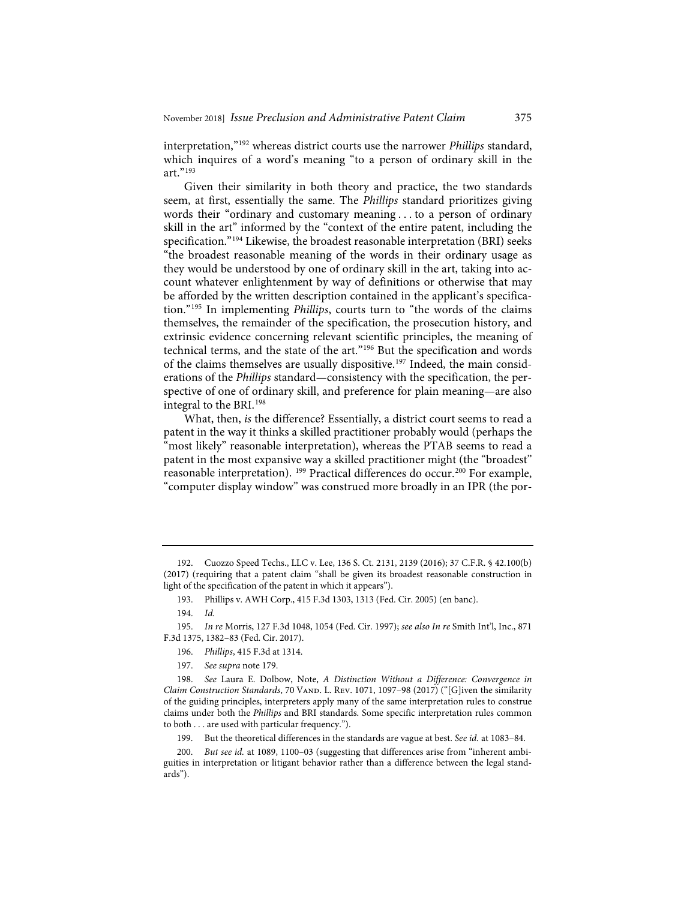interpretation,"192 whereas district courts use the narrower *Phillips* standard, which inquires of a word's meaning "to a person of ordinary skill in the art."193

Given their similarity in both theory and practice, the two standards seem, at first, essentially the same. The *Phillips* standard prioritizes giving words their "ordinary and customary meaning . . . to a person of ordinary skill in the art" informed by the "context of the entire patent, including the specification."194 Likewise, the broadest reasonable interpretation (BRI) seeks "the broadest reasonable meaning of the words in their ordinary usage as they would be understood by one of ordinary skill in the art, taking into account whatever enlightenment by way of definitions or otherwise that may be afforded by the written description contained in the applicant's specification."195 In implementing *Phillips*, courts turn to "the words of the claims themselves, the remainder of the specification, the prosecution history, and extrinsic evidence concerning relevant scientific principles, the meaning of technical terms, and the state of the art."196 But the specification and words of the claims themselves are usually dispositive.197 Indeed, the main considerations of the *Phillips* standard—consistency with the specification, the perspective of one of ordinary skill, and preference for plain meaning—are also integral to the BRI.198

What, then, *is* the difference? Essentially, a district court seems to read a patent in the way it thinks a skilled practitioner probably would (perhaps the "most likely" reasonable interpretation), whereas the PTAB seems to read a patent in the most expansive way a skilled practitioner might (the "broadest" reasonable interpretation). <sup>199</sup> Practical differences do occur.<sup>200</sup> For example, "computer display window" was construed more broadly in an IPR (the por-

<sup>192.</sup> Cuozzo Speed Techs., LLC v. Lee, 136 S. Ct. 2131, 2139 (2016); 37 C.F.R. § 42.100(b) (2017) (requiring that a patent claim "shall be given its broadest reasonable construction in light of the specification of the patent in which it appears").

<sup>193.</sup> Phillips v. AWH Corp., 415 F.3d 1303, 1313 (Fed. Cir. 2005) (en banc).

<sup>194.</sup> *Id.*

<sup>195.</sup> *In re* Morris, 127 F.3d 1048, 1054 (Fed. Cir. 1997); *see also In re* Smith Int'l, Inc., 871 F.3d 1375, 1382–83 (Fed. Cir. 2017).

<sup>196.</sup> *Phillips*, 415 F.3d at 1314.

<sup>197.</sup> *See supra* note 179.

<sup>198.</sup> *See* Laura E. Dolbow, Note, *A Distinction Without a Difference: Convergence in Claim Construction Standards*, 70 VAND. L. Rev. 1071, 1097-98 (2017) ("[G]iven the similarity of the guiding principles, interpreters apply many of the same interpretation rules to construe claims under both the *Phillips* and BRI standards. Some specific interpretation rules common to both . . . are used with particular frequency.").

<sup>199.</sup> But the theoretical differences in the standards are vague at best. *See id.* at 1083–84.

<sup>200.</sup> *But see id.* at 1089, 1100–03 (suggesting that differences arise from "inherent ambiguities in interpretation or litigant behavior rather than a difference between the legal standards").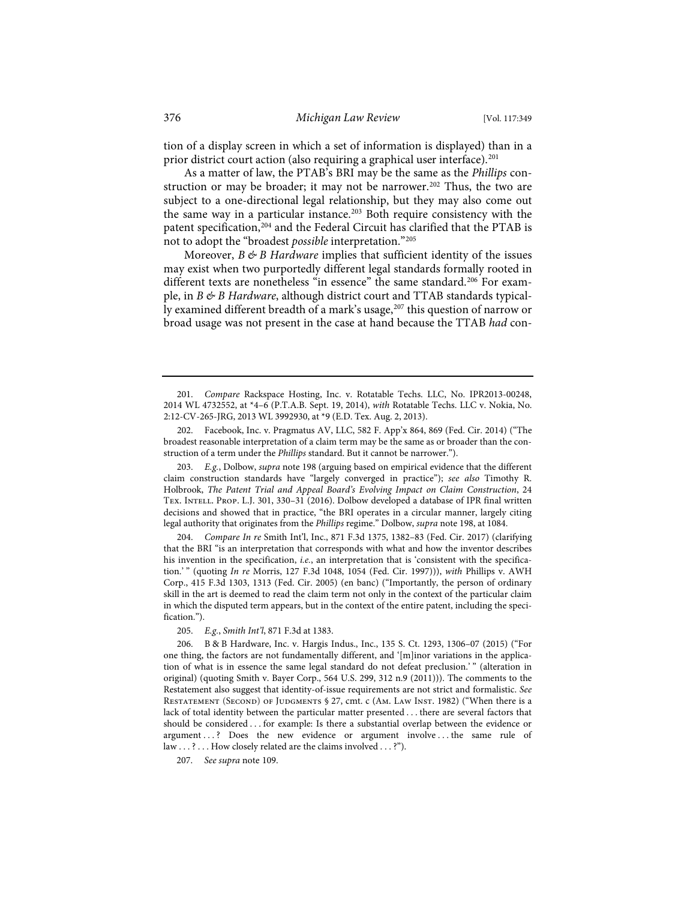tion of a display screen in which a set of information is displayed) than in a prior district court action (also requiring a graphical user interface).<sup>201</sup>

As a matter of law, the PTAB's BRI may be the same as the *Phillips* construction or may be broader; it may not be narrower.<sup>202</sup> Thus, the two are subject to a one-directional legal relationship, but they may also come out the same way in a particular instance.<sup>203</sup> Both require consistency with the patent specification,<sup>204</sup> and the Federal Circuit has clarified that the PTAB is not to adopt the "broadest *possible* interpretation."205

Moreover, *B & B Hardware* implies that sufficient identity of the issues may exist when two purportedly different legal standards formally rooted in different texts are nonetheless "in essence" the same standard.<sup>206</sup> For example, in *B & B Hardware*, although district court and TTAB standards typically examined different breadth of a mark's usage,<sup>207</sup> this question of narrow or broad usage was not present in the case at hand because the TTAB *had* con-

204. *Compare In re* Smith Int'l, Inc., 871 F.3d 1375, 1382–83 (Fed. Cir. 2017) (clarifying that the BRI "is an interpretation that corresponds with what and how the inventor describes his invention in the specification, *i.e.*, an interpretation that is 'consistent with the specification.' " (quoting *In re* Morris, 127 F.3d 1048, 1054 (Fed. Cir. 1997))), *with* Phillips v. AWH Corp., 415 F.3d 1303, 1313 (Fed. Cir. 2005) (en banc) ("Importantly, the person of ordinary skill in the art is deemed to read the claim term not only in the context of the particular claim in which the disputed term appears, but in the context of the entire patent, including the specification.")

205. *E.g.*, *Smith Int'l*, 871 F.3d at 1383.

207. *See supra* note 109.

<sup>201.</sup> *Compare* Rackspace Hosting, Inc. v. Rotatable Techs. LLC, No. IPR2013-00248, 2014 WL 4732552, at \*4–6 (P.T.A.B. Sept. 19, 2014), *with* Rotatable Techs. LLC v. Nokia, No. 2:12-CV-265-JRG, 2013 WL 3992930, at \*9 (E.D. Tex. Aug. 2, 2013).

<sup>202.</sup> Facebook, Inc. v. Pragmatus AV, LLC, 582 F. App'x 864, 869 (Fed. Cir. 2014) ("The broadest reasonable interpretation of a claim term may be the same as or broader than the construction of a term under the *Phillips* standard. But it cannot be narrower.").

<sup>203.</sup> *E.g.*, Dolbow, *supra* note 198 (arguing based on empirical evidence that the different claim construction standards have "largely converged in practice"); *see also* Timothy R. Holbrook, *The Patent Trial and Appeal Board's Evolving Impact on Claim Construction*, 24 Tex. Intell. Prop. L.J. 301, 330–31 (2016). Dolbow developed a database of IPR final written decisions and showed that in practice, "the BRI operates in a circular manner, largely citing legal authority that originates from the *Phillips* regime." Dolbow, *supra* note 198, at 1084.

<sup>206.</sup> B & B Hardware, Inc. v. Hargis Indus., Inc., 135 S. Ct. 1293, 1306–07 (2015) ("For one thing, the factors are not fundamentally different, and '[m]inor variations in the application of what is in essence the same legal standard do not defeat preclusion.'" (alteration in original) (quoting Smith v. Bayer Corp., 564 U.S. 299, 312 n.9 (2011))). The comments to the Restatement also suggest that identity-of-issue requirements are not strict and formalistic. *See* Restatement (Second) of Judgments § 27, cmt. c (Am. Law Inst. 1982) ("When there is a lack of total identity between the particular matter presented . . . there are several factors that should be considered . . . for example: Is there a substantial overlap between the evidence or argument . . . ? Does the new evidence or argument involve . . . the same rule of law . . . ? . . . How closely related are the claims involved . . . ?").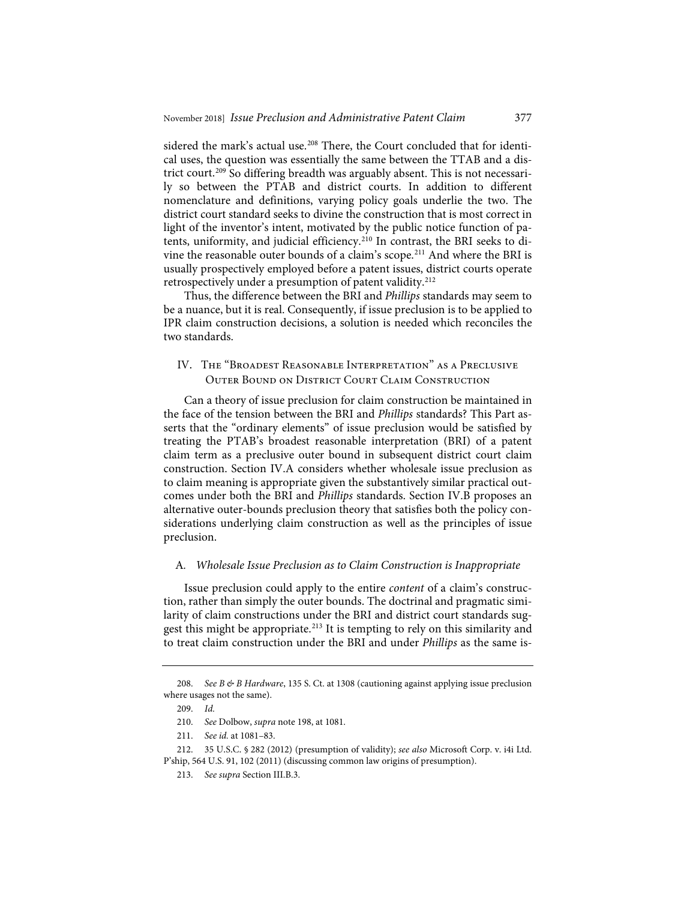sidered the mark's actual use.<sup>208</sup> There, the Court concluded that for identical uses, the question was essentially the same between the TTAB and a district court.<sup>209</sup> So differing breadth was arguably absent. This is not necessarily so between the PTAB and district courts. In addition to different nomenclature and definitions, varying policy goals underlie the two. The district court standard seeks to divine the construction that is most correct in light of the inventor's intent, motivated by the public notice function of patents, uniformity, and judicial efficiency.210 In contrast, the BRI seeks to divine the reasonable outer bounds of a claim's scope.211 And where the BRI is usually prospectively employed before a patent issues, district courts operate retrospectively under a presumption of patent validity.212

Thus, the difference between the BRI and *Phillips* standards may seem to be a nuance, but it is real. Consequently, if issue preclusion is to be applied to IPR claim construction decisions, a solution is needed which reconciles the two standards.

## IV. The "Broadest Reasonable Interpretation" as a Preclusive Outer Bound on District Court Claim Construction

Can a theory of issue preclusion for claim construction be maintained in the face of the tension between the BRI and *Phillips* standards? This Part asserts that the "ordinary elements" of issue preclusion would be satisfied by treating the PTAB's broadest reasonable interpretation (BRI) of a patent claim term as a preclusive outer bound in subsequent district court claim construction. Section IV.A considers whether wholesale issue preclusion as to claim meaning is appropriate given the substantively similar practical outcomes under both the BRI and *Phillips* standards. Section IV.B proposes an alternative outer-bounds preclusion theory that satisfies both the policy considerations underlying claim construction as well as the principles of issue preclusion.

#### A*. Wholesale Issue Preclusion as to Claim Construction is Inappropriate*

Issue preclusion could apply to the entire *content* of a claim's construction, rather than simply the outer bounds. The doctrinal and pragmatic similarity of claim constructions under the BRI and district court standards suggest this might be appropriate.<sup>213</sup> It is tempting to rely on this similarity and to treat claim construction under the BRI and under *Phillips* as the same is-

<sup>208.</sup> *See B & B Hardware*, 135 S. Ct. at 1308 (cautioning against applying issue preclusion where usages not the same).

<sup>209.</sup> *Id.*

<sup>210.</sup> *See* Dolbow, *supra* note 198, at 1081.

<sup>211.</sup> *See id.* at 1081–83.

<sup>212. 35</sup> U.S.C. § 282 (2012) (presumption of validity); *see also* Microsoft Corp. v. i4i Ltd. P'ship, 564 U.S. 91, 102 (2011) (discussing common law origins of presumption).

<sup>213.</sup> *See supra* Section III.B.3.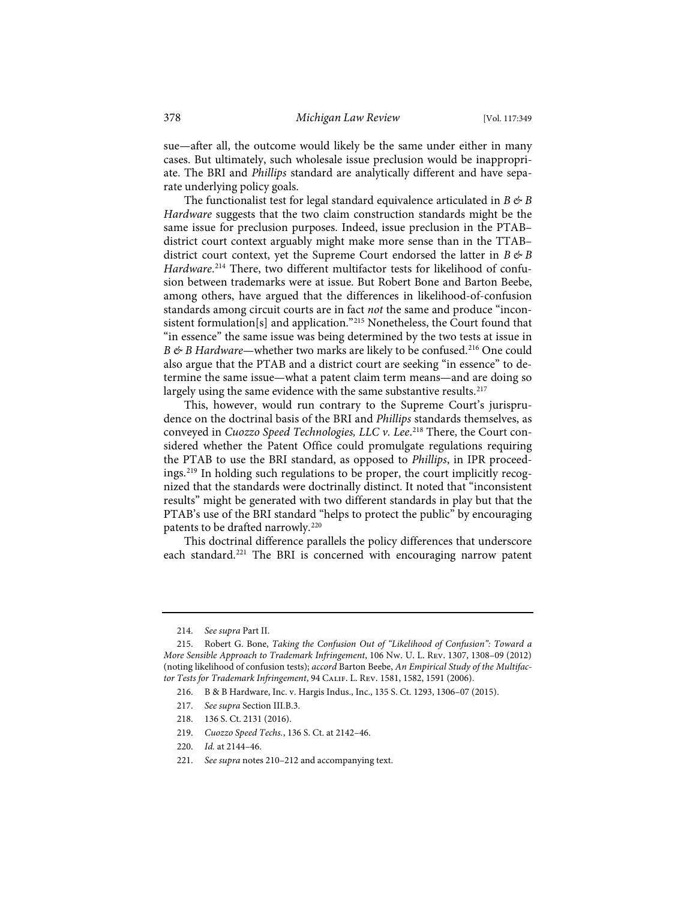sue—after all, the outcome would likely be the same under either in many cases. But ultimately, such wholesale issue preclusion would be inappropriate. The BRI and *Phillips* standard are analytically different and have separate underlying policy goals.

The functionalist test for legal standard equivalence articulated in  $B \not\in B$ *Hardware* suggests that the two claim construction standards might be the same issue for preclusion purposes. Indeed, issue preclusion in the PTAB– district court context arguably might make more sense than in the TTAB– district court context, yet the Supreme Court endorsed the latter in  $B \not\in B$ *Hardware*. <sup>214</sup> There, two different multifactor tests for likelihood of confusion between trademarks were at issue. But Robert Bone and Barton Beebe, among others, have argued that the differences in likelihood-of-confusion standards among circuit courts are in fact *not* the same and produce "inconsistent formulation[s] and application."215 Nonetheless, the Court found that "in essence" the same issue was being determined by the two tests at issue in *B* & *B Hardware*—whether two marks are likely to be confused.<sup>216</sup> One could also argue that the PTAB and a district court are seeking "in essence" to determine the same issue—what a patent claim term means—and are doing so largely using the same evidence with the same substantive results.<sup>217</sup>

This, however, would run contrary to the Supreme Court's jurisprudence on the doctrinal basis of the BRI and *Phillips* standards themselves, as conveyed in *Cuozzo Speed Technologies, LLC v. Lee*. <sup>218</sup> There, the Court considered whether the Patent Office could promulgate regulations requiring the PTAB to use the BRI standard, as opposed to *Phillips*, in IPR proceedings.219 In holding such regulations to be proper, the court implicitly recognized that the standards were doctrinally distinct. It noted that "inconsistent results" might be generated with two different standards in play but that the PTAB's use of the BRI standard "helps to protect the public" by encouraging patents to be drafted narrowly.<sup>220</sup>

This doctrinal difference parallels the policy differences that underscore each standard.<sup>221</sup> The BRI is concerned with encouraging narrow patent

- 219. *Cuozzo Speed Techs.*, 136 S. Ct. at 2142–46.
- 220. *Id.* at 2144–46.
- 221. *See supra* notes 210–212 and accompanying text.

<sup>214.</sup> *See supra* Part II.

<sup>215.</sup> Robert G. Bone, *Taking the Confusion Out of "Likelihood of Confusion": Toward a More Sensible Approach to Trademark Infringement*, 106 Nw. U. L. Rev. 1307, 1308–09 (2012) (noting likelihood of confusion tests); *accord* Barton Beebe, *An Empirical Study of the Multifactor Tests for Trademark Infringement*, 94 Calif. L. Rev. 1581, 1582, 1591 (2006).

<sup>216.</sup> B & B Hardware, Inc. v. Hargis Indus., Inc., 135 S. Ct. 1293, 1306–07 (2015).

<sup>217.</sup> *See supra* Section III.B.3.

<sup>218. 136</sup> S. Ct. 2131 (2016).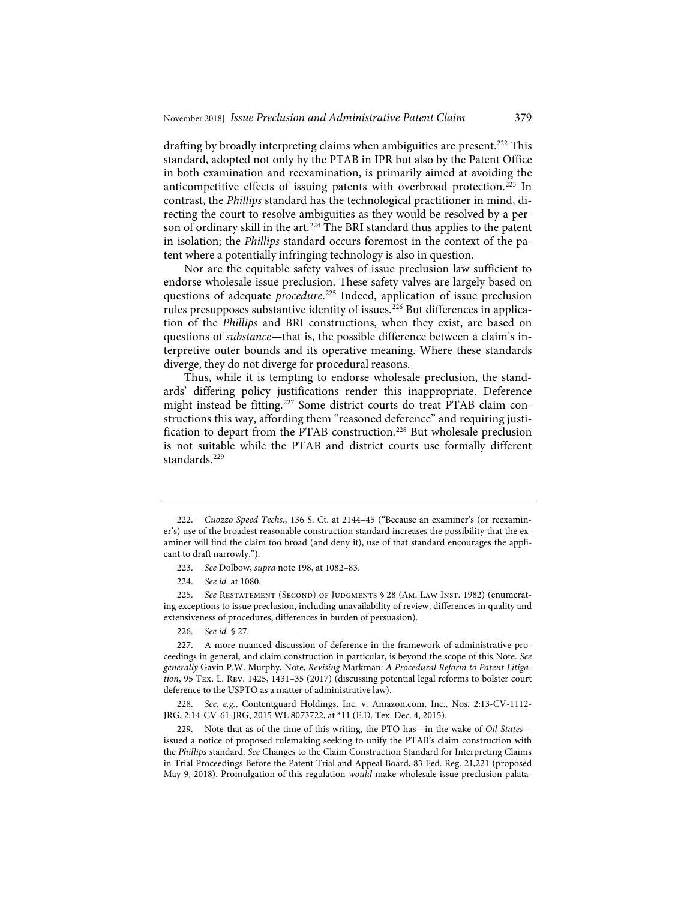drafting by broadly interpreting claims when ambiguities are present.<sup>222</sup> This standard, adopted not only by the PTAB in IPR but also by the Patent Office in both examination and reexamination, is primarily aimed at avoiding the anticompetitive effects of issuing patents with overbroad protection.<sup>223</sup> In contrast, the *Phillips* standard has the technological practitioner in mind, directing the court to resolve ambiguities as they would be resolved by a person of ordinary skill in the art.<sup>224</sup> The BRI standard thus applies to the patent in isolation; the *Phillips* standard occurs foremost in the context of the patent where a potentially infringing technology is also in question.

Nor are the equitable safety valves of issue preclusion law sufficient to endorse wholesale issue preclusion. These safety valves are largely based on questions of adequate *procedure*. <sup>225</sup> Indeed, application of issue preclusion rules presupposes substantive identity of issues.<sup>226</sup> But differences in application of the *Phillips* and BRI constructions, when they exist, are based on questions of *substance*—that is, the possible difference between a claim's interpretive outer bounds and its operative meaning. Where these standards diverge, they do not diverge for procedural reasons.

Thus, while it is tempting to endorse wholesale preclusion, the standards' differing policy justifications render this inappropriate. Deference might instead be fitting.<sup>227</sup> Some district courts do treat PTAB claim constructions this way, affording them "reasoned deference" and requiring justification to depart from the PTAB construction.<sup>228</sup> But wholesale preclusion is not suitable while the PTAB and district courts use formally different standards.<sup>229</sup>

226. *See id.* § 27.

229. Note that as of the time of this writing, the PTO has—in the wake of *Oil States* issued a notice of proposed rulemaking seeking to unify the PTAB's claim construction with the *Phillips* standard. *See* Changes to the Claim Construction Standard for Interpreting Claims in Trial Proceedings Before the Patent Trial and Appeal Board, 83 Fed. Reg. 21,221 (proposed May 9, 2018). Promulgation of this regulation *would* make wholesale issue preclusion palata-

<sup>222.</sup> *Cuozzo Speed Techs.*, 136 S. Ct. at 2144–45 ("Because an examiner's (or reexaminer's) use of the broadest reasonable construction standard increases the possibility that the examiner will find the claim too broad (and deny it), use of that standard encourages the applicant to draft narrowly.").

<sup>223.</sup> *See* Dolbow, *supra* note 198, at 1082–83.

<sup>224.</sup> *See id.* at 1080.

<sup>225.</sup> *See* Restatement (Second) of Judgments § 28 (Am. Law Inst. 1982) (enumerating exceptions to issue preclusion, including unavailability of review, differences in quality and extensiveness of procedures, differences in burden of persuasion).

<sup>227.</sup> A more nuanced discussion of deference in the framework of administrative proceedings in general, and claim construction in particular, is beyond the scope of this Note. *See generally* Gavin P.W. Murphy, Note, *Revising* Markman*: A Procedural Reform to Patent Litigation*, 95 Tex. L. Rev. 1425, 1431–35 (2017) (discussing potential legal reforms to bolster court deference to the USPTO as a matter of administrative law).

<sup>228.</sup> *See, e.g.*, Contentguard Holdings, Inc. v. Amazon.com, Inc., Nos. 2:13-CV-1112- JRG, 2:14-CV-61-JRG, 2015 WL 8073722, at \*11 (E.D. Tex. Dec. 4, 2015).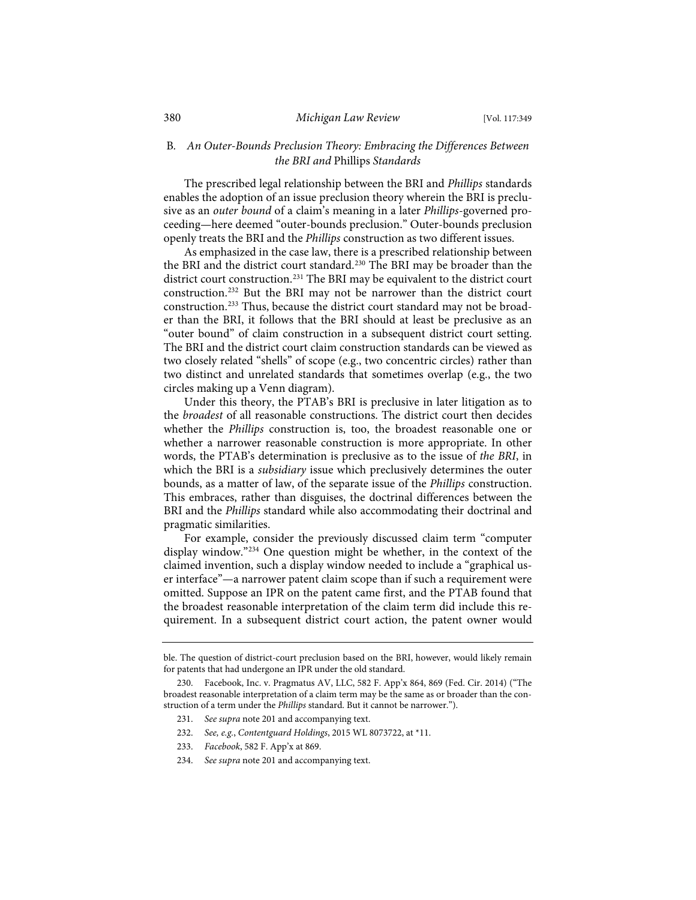## B*. An Outer-Bounds Preclusion Theory: Embracing the Differences Between the BRI and* Phillips *Standards*

The prescribed legal relationship between the BRI and *Phillips* standards enables the adoption of an issue preclusion theory wherein the BRI is preclusive as an *outer bound* of a claim's meaning in a later *Phillips*-governed proceeding—here deemed "outer-bounds preclusion." Outer-bounds preclusion openly treats the BRI and the *Phillips* construction as two different issues.

As emphasized in the case law, there is a prescribed relationship between the BRI and the district court standard.230 The BRI may be broader than the district court construction.<sup>231</sup> The BRI may be equivalent to the district court construction.232 But the BRI may not be narrower than the district court construction.233 Thus, because the district court standard may not be broader than the BRI, it follows that the BRI should at least be preclusive as an "outer bound" of claim construction in a subsequent district court setting. The BRI and the district court claim construction standards can be viewed as two closely related "shells" of scope (e.g., two concentric circles) rather than two distinct and unrelated standards that sometimes overlap (e.g., the two circles making up a Venn diagram).

Under this theory, the PTAB's BRI is preclusive in later litigation as to the *broadest* of all reasonable constructions. The district court then decides whether the *Phillips* construction is, too, the broadest reasonable one or whether a narrower reasonable construction is more appropriate. In other words, the PTAB's determination is preclusive as to the issue of *the BRI*, in which the BRI is a *subsidiary* issue which preclusively determines the outer bounds, as a matter of law, of the separate issue of the *Phillips* construction. This embraces, rather than disguises, the doctrinal differences between the BRI and the *Phillips* standard while also accommodating their doctrinal and pragmatic similarities.

For example, consider the previously discussed claim term "computer display window."234 One question might be whether, in the context of the claimed invention, such a display window needed to include a "graphical user interface"—a narrower patent claim scope than if such a requirement were omitted. Suppose an IPR on the patent came first, and the PTAB found that the broadest reasonable interpretation of the claim term did include this requirement. In a subsequent district court action, the patent owner would

- 232. *See, e.g.*, *Contentguard Holdings*, 2015 WL 8073722, at \*11.
- 233. *Facebook*, 582 F. App'x at 869.
- 234. *See supra* note 201 and accompanying text.

ble. The question of district-court preclusion based on the BRI, however, would likely remain for patents that had undergone an IPR under the old standard.

<sup>230.</sup> Facebook, Inc. v. Pragmatus AV, LLC, 582 F. App'x 864, 869 (Fed. Cir. 2014) ("The broadest reasonable interpretation of a claim term may be the same as or broader than the construction of a term under the *Phillips* standard. But it cannot be narrower.").

<sup>231.</sup> *See supra* note 201 and accompanying text.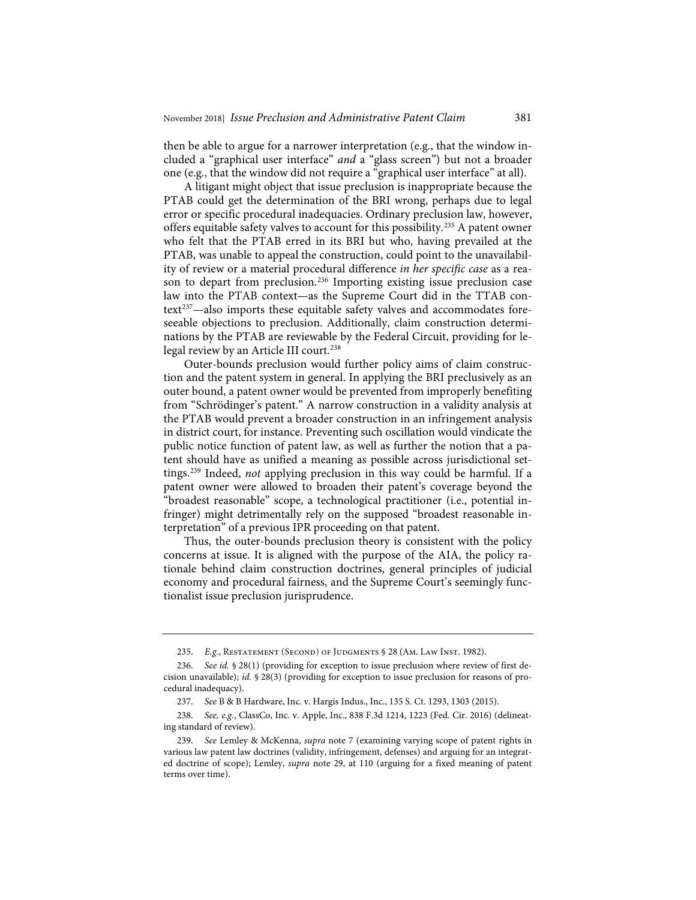then be able to argue for a narrower interpretation (e.g., that the window included a "graphical user interface" *and* a "glass screen") but not a broader one (e.g., that the window did not require a "graphical user interface" at all).

A litigant might object that issue preclusion is inappropriate because the PTAB could get the determination of the BRI wrong, perhaps due to legal error or specific procedural inadequacies. Ordinary preclusion law, however, offers equitable safety valves to account for this possibility.235 A patent owner who felt that the PTAB erred in its BRI but who, having prevailed at the PTAB, was unable to appeal the construction, could point to the unavailability of review or a material procedural difference *in her specific case* as a reason to depart from preclusion.<sup>236</sup> Importing existing issue preclusion case law into the PTAB context—as the Supreme Court did in the TTAB context<sup>237</sup>—also imports these equitable safety valves and accommodates foreseeable objections to preclusion. Additionally, claim construction determinations by the PTAB are reviewable by the Federal Circuit, providing for lelegal review by an Article III court.<sup>238</sup>

Outer-bounds preclusion would further policy aims of claim construction and the patent system in general. In applying the BRI preclusively as an outer bound, a patent owner would be prevented from improperly benefiting from "Schrödinger's patent." A narrow construction in a validity analysis at the PTAB would prevent a broader construction in an infringement analysis in district court, for instance. Preventing such oscillation would vindicate the public notice function of patent law, as well as further the notion that a patent should have as unified a meaning as possible across jurisdictional settings.239 Indeed, *not* applying preclusion in this way could be harmful. If a patent owner were allowed to broaden their patent's coverage beyond the "broadest reasonable" scope, a technological practitioner (i.e., potential infringer) might detrimentally rely on the supposed "broadest reasonable interpretation" of a previous IPR proceeding on that patent.

Thus, the outer-bounds preclusion theory is consistent with the policy concerns at issue. It is aligned with the purpose of the AIA, the policy rationale behind claim construction doctrines, general principles of judicial economy and procedural fairness, and the Supreme Court's seemingly functionalist issue preclusion jurisprudence.

<sup>235.</sup> *E.g.*, Restatement (Second) of Judgments § 28 (Am. Law Inst. 1982).

<sup>236.</sup> *See id.* § 28(1) (providing for exception to issue preclusion where review of first decision unavailable); *id.* § 28(3) (providing for exception to issue preclusion for reasons of procedural inadequacy).

<sup>237.</sup> *See* B & B Hardware, Inc. v. Hargis Indus., Inc., 135 S. Ct. 1293, 1303 (2015).

<sup>238.</sup> *See, e.g.*, ClassCo, Inc. v. Apple, Inc., 838 F.3d 1214, 1223 (Fed. Cir. 2016) (delineating standard of review).

<sup>239.</sup> *See* Lemley & McKenna, *supra* note 7 (examining varying scope of patent rights in various law patent law doctrines (validity, infringement, defenses) and arguing for an integrated doctrine of scope); Lemley, *supra* note 29, at 110 (arguing for a fixed meaning of patent terms over time).